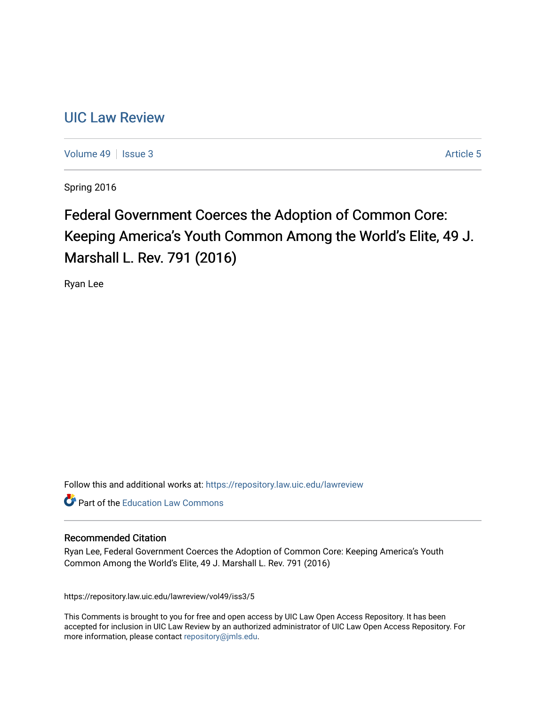# [UIC Law Review](https://repository.law.uic.edu/lawreview)

[Volume 49](https://repository.law.uic.edu/lawreview/vol49) | [Issue 3](https://repository.law.uic.edu/lawreview/vol49/iss3) Article 5

Spring 2016

# Federal Government Coerces the Adoption of Common Core: Keeping America's Youth Common Among the World's Elite, 49 J. Marshall L. Rev. 791 (2016)

Ryan Lee

Follow this and additional works at: [https://repository.law.uic.edu/lawreview](https://repository.law.uic.edu/lawreview?utm_source=repository.law.uic.edu%2Flawreview%2Fvol49%2Fiss3%2F5&utm_medium=PDF&utm_campaign=PDFCoverPages) 

**Part of the Education Law Commons** 

#### Recommended Citation

Ryan Lee, Federal Government Coerces the Adoption of Common Core: Keeping America's Youth Common Among the World's Elite, 49 J. Marshall L. Rev. 791 (2016)

https://repository.law.uic.edu/lawreview/vol49/iss3/5

This Comments is brought to you for free and open access by UIC Law Open Access Repository. It has been accepted for inclusion in UIC Law Review by an authorized administrator of UIC Law Open Access Repository. For more information, please contact [repository@jmls.edu.](mailto:repository@jmls.edu)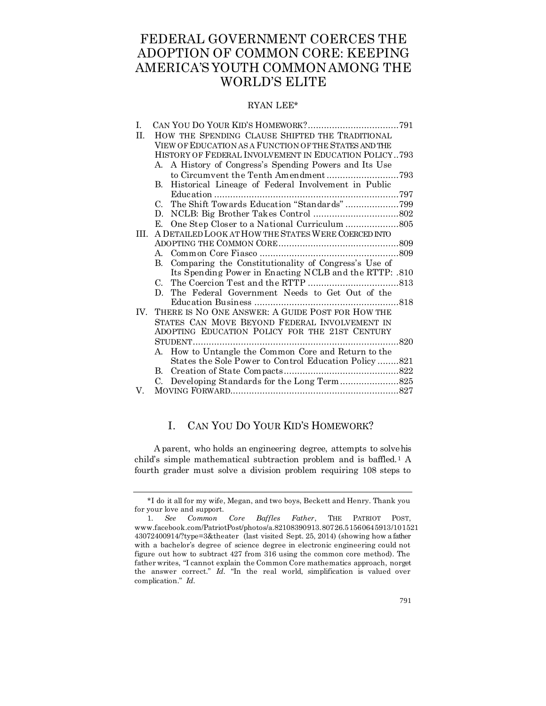# FEDERAL GOVERNMENT COERCES THE ADOPTION OF COMMON CORE: KEEPING AMERICA'S YOUTH COMMON AMONG THE WORLD'S ELITE

#### RYAN LEE\*

| I.   |                                                       |                                                        |  |
|------|-------------------------------------------------------|--------------------------------------------------------|--|
| H.   | HOW THE SPENDING CLAUSE SHIFTED THE TRADITIONAL       |                                                        |  |
|      | VIEW OF EDUCATION AS A FUNCTION OF THE STATES AND THE |                                                        |  |
|      | HISTORY OF FEDERAL INVOLVEMENT IN EDUCATION POLICY793 |                                                        |  |
|      |                                                       | A. A History of Congress's Spending Powers and Its Use |  |
|      |                                                       |                                                        |  |
|      | В.                                                    | Historical Lineage of Federal Involvement in Public    |  |
|      |                                                       |                                                        |  |
|      | $C_{\cdot}$                                           | The Shift Towards Education "Standards"799             |  |
|      | D.                                                    |                                                        |  |
|      | E.                                                    |                                                        |  |
| III. | A DETAILED LOOK AT HOW THE STATES WERE COERCED INTO   |                                                        |  |
|      |                                                       |                                                        |  |
|      | $A_{\cdot}$                                           |                                                        |  |
|      | $\mathbf{B}$                                          | Comparing the Constitutionality of Congress's Use of   |  |
|      |                                                       | Its Spending Power in Enacting NCLB and the RTTP: .810 |  |
|      | $C_{\cdot}$                                           |                                                        |  |
|      | D.                                                    | The Federal Government Needs to Get Out of the         |  |
|      |                                                       |                                                        |  |
|      | IV. THERE IS NO ONE ANSWER: A GUIDE POST FOR HOW THE  |                                                        |  |
|      | STATES CAN MOVE BEYOND FEDERAL INVOLVEMENT IN         |                                                        |  |
|      | ADOPTING EDUCATION POLICY FOR THE 21ST CENTURY        |                                                        |  |
|      |                                                       |                                                        |  |
|      | A.                                                    | How to Untangle the Common Core and Return to the      |  |
|      |                                                       | States the Sole Power to Control Education Policy821   |  |
|      | B.                                                    |                                                        |  |
|      | $C_{\cdot}$                                           |                                                        |  |
| V.   |                                                       |                                                        |  |

### I. CAN YOU DO YOUR KID'S HOMEWORK?

A parent, who holds an engineering degree, attempts to solve his child's simple mathematical subtraction problem and is baffled.<sup>1</sup> A fourth grader must solve a division problem requiring 108 steps to

<sup>\*</sup>I do it all for my wife, Megan, and two boys, Beckett and Henry. Thank you for your love and support.

<sup>1.</sup> *See Common Core Baffles Father*, THE PATRIOT POST, www.facebook.com/PatriotPost/photos/a.82108390913.80726.51560645913/101521 43072400914/?type=3&theater (last visited Sept. 25, 2014) (showing how a father with a bachelor's degree of science degree in electronic engineering could not figure out how to subtract 427 from 316 using the common core method). The father writes, "I cannot explain the Common Core mathematics approach, norget the answer correct." *Id.* "In the real world, simplification is valued over complication." *Id.*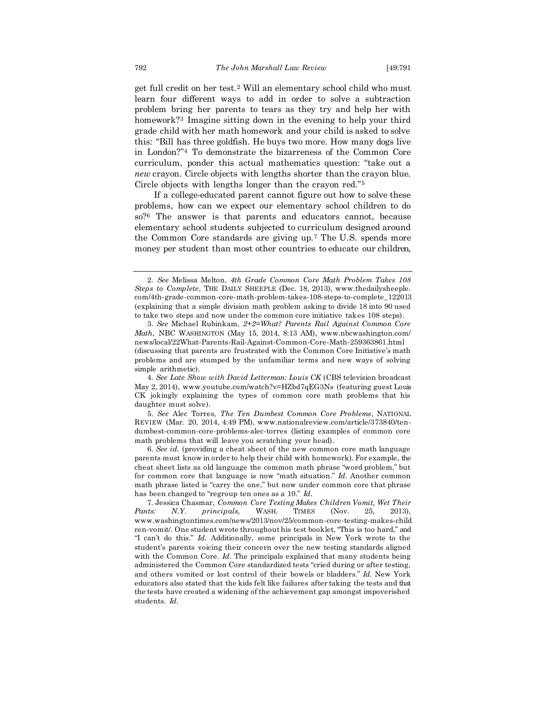get full credit on her test.<sup>2</sup> Will an elementary school child who must learn four different ways to add in order to solve a subtraction problem bring her parents to tears as they try and help her with homework?<sup>3</sup> Imagine sitting down in the evening to help your third grade child with her math homework and your child is asked to solve this: "Bill has three goldfish. He buys two more. How many dogs live in London?"<sup>4</sup> To demonstrate the bizarreness of the Common Core curriculum, ponder this actual mathematics question: "take out a *new* crayon. Circle objects with lengths shorter than the crayon blue. Circle objects with lengths longer than the crayon red."<sup>5</sup>

If a college-educated parent cannot figure out how to solve these problems, how can we expect our elementary school children to do so?<sup>6</sup> The answer is that parents and educators cannot, because elementary school students subjected to curriculum designed around the Common Core standards are giving up.<sup>7</sup> The U.S. spends more money per student than most other countries to educate our children,

4. *See Late Show with David Letterman: Louis CK* (CBS television broadcast May 2, 2014), www.youtube.com/watch?v=HZbd7qEG3Ns (featuring guest Louis CK jokingly explaining the types of common core math problems that his daughter must solve).

5. *See* Alec Torres, *The Ten Dumbest Common Core Problems*, NATIONAL REVIEW (Mar. 20, 2014, 4:49 PM), www.nationalreview.com/article/373840/tendumbest-common-core-problems-alec-torres (listing examples of common core math problems that will leave you scratching your head).

6. *See id.* (providing a cheat sheet of the new common core math language parents must know in order to help their child with homework). For example, the cheat sheet lists as old language the common math phrase "word problem," but for common core that language is now "math situation." *Id.* Another common math phrase listed is "carry the one," but now under common core that phrase has been changed to "regroup ten ones as a 10." *Id.*

<sup>2.</sup> *See* Melissa Melton, *4th Grade Common Core Math Problem Takes 108 Steps to Complete*, THE DAILY SHEEPLE (Dec. 18, 2013), www.thedailysheeple. com/4th-grade-common-core-math-problem-takes-108-steps-to-complete\_122013 (explaining that a simple division math problem asking to divide 18 into 90 used to take two steps and now under the common core initiative takes 108 steps).

<sup>3.</sup> *See* Michael Rubinkam, *2+2=What? Parents Rail Against Common Core Math*, NBC WASHINGTON (May 15, 2014, 8:13 AM), www.nbcwashington.com/ news/local/22What-Parents-Rail-Against-Common-Core-Math-259363861.html (discussing that parents are frustrated with the Common Core Initiative's math problems and are stumped by the unfamiliar terms and new ways of solving simple arithmetic).

<sup>7.</sup> Jessica Chasmar, *Common Core Testing Makes Children Vomit, Wet Their Pants: N.Y. principals,* WASH. TIMES (Nov. 25, 2013), www.washingtontimes.com/news/2013/nov/25/common-core-testing-makes-child ren-vomit/. One student wrote throughout his test booklet, "This is too hard," and "I can't do this." *Id.* Additionally, some principals in New York wrote to the student's parents voicing their concern over the new testing standards aligned with the Common Core. *Id*. The principals explained that many students being administered the Common Core standardized tests "cried during or after testing, and others vomited or lost control of their bowels or bladders." *Id.* New York educators also stated that the kids felt like failures after taking the tests and that the tests have created a widening of the achievement gap amongst impoverished students. *Id.*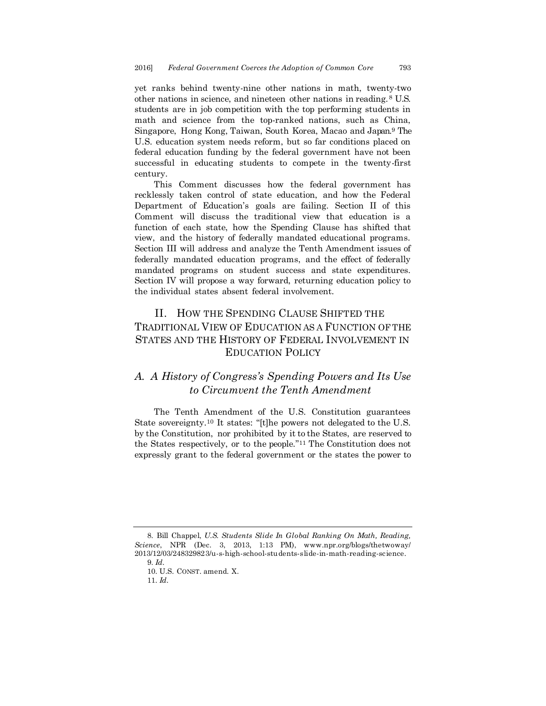yet ranks behind twenty-nine other nations in math, twenty-two other nations in science, and nineteen other nations in reading.<sup>8</sup> U.S. students are in job competition with the top performing students in math and science from the top-ranked nations, such as China, Singapore, Hong Kong, Taiwan, South Korea, Macao and Japan.<sup>9</sup> The U.S. education system needs reform, but so far conditions placed on federal education funding by the federal government have not been successful in educating students to compete in the twenty-first century.

This Comment discusses how the federal government has recklessly taken control of state education, and how the Federal Department of Education's goals are failing. Section II of this Comment will discuss the traditional view that education is a function of each state, how the Spending Clause has shifted that view, and the history of federally mandated educational programs. Section III will address and analyze the Tenth Amendment issues of federally mandated education programs, and the effect of federally mandated programs on student success and state expenditures. Section IV will propose a way forward, returning education policy to the individual states absent federal involvement.

# II. HOW THE SPENDING CLAUSE SHIFTED THE TRADITIONAL VIEW OF EDUCATION AS A FUNCTION OF THE STATES AND THE HISTORY OF FEDERAL INVOLVEMENT IN EDUCATION POLICY

# *A. A History of Congress's Spending Powers and Its Use to Circumvent the Tenth Amendment*

The Tenth Amendment of the U.S. Constitution guarantees State sovereignty.<sup>10</sup> It states: "[t]he powers not delegated to the U.S. by the Constitution, nor prohibited by it to the States, are reserved to the States respectively, or to the people."<sup>11</sup> The Constitution does not expressly grant to the federal government or the states the power to

<sup>8.</sup> Bill Chappel, *U.S. Students Slide In Global Ranking On Math, Reading, Science*, NPR (Dec. 3, 2013, 1:13 PM), www.npr.org/blogs/thetwoway/ 2013/12/03/248329823/u-s-high-school-students-slide-in-math-reading-science. 9. *Id.*

<sup>10.</sup> U.S. CONST. amend. X.

<sup>11.</sup> *Id.*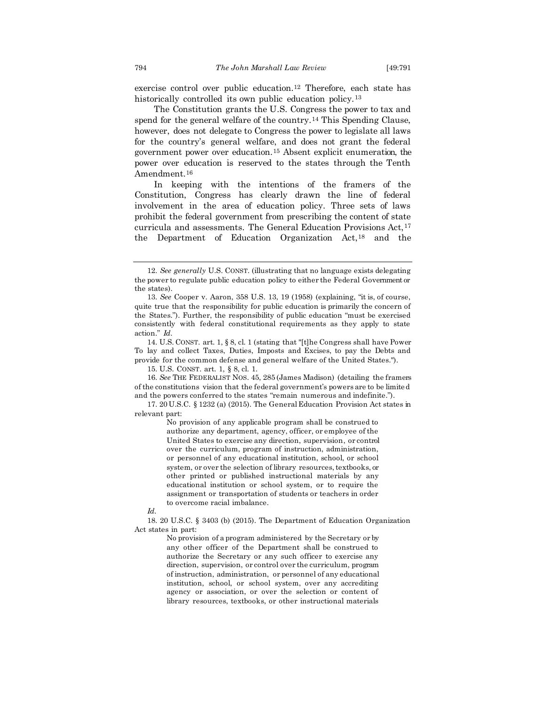exercise control over public education.<sup>12</sup> Therefore, each state has historically controlled its own public education policy.<sup>13</sup>

The Constitution grants the U.S. Congress the power to tax and spend for the general welfare of the country.<sup>14</sup> This Spending Clause, however, does not delegate to Congress the power to legislate all laws for the country's general welfare, and does not grant the federal government power over education.<sup>15</sup> Absent explicit enumeration, the power over education is reserved to the states through the Tenth Amendment.<sup>16</sup>

In keeping with the intentions of the framers of the Constitution, Congress has clearly drawn the line of federal involvement in the area of education policy. Three sets of laws prohibit the federal government from prescribing the content of state curricula and assessments. The General Education Provisions Act,<sup>17</sup> the Department of Education Organization Act,<sup>18</sup> and the

15. U.S. CONST. art. 1, § 8, cl. 1.

16. *See* THE FEDERALIST NOS. 45, 285 (James Madison) (detailing the framers of the constitutions vision that the federal government's powers are to be limited and the powers conferred to the states "remain numerous and indefinite.").

17. 20 U.S.C. § 1232 (a) (2015). The General Education Provision Act states in relevant part:

> No provision of any applicable program shall be construed to authorize any department, agency, officer, or employee of the United States to exercise any direction, supervision, or control over the curriculum, program of instruction, administration, or personnel of any educational institution, school, or school system, or over the selection of library resources, textbooks, or other printed or published instructional materials by any educational institution or school system, or to require the assignment or transportation of students or teachers in order to overcome racial imbalance.

*Id.*

18. 20 U.S.C. § 3403 (b) (2015). The Department of Education Organization Act states in part:

> No provision of a program administered by the Secretary or by any other officer of the Department shall be construed to authorize the Secretary or any such officer to exercise any direction, supervision, or control over the curriculum, program of instruction, administration, or personnel of any educational institution, school, or school system, over any accrediting agency or association, or over the selection or content of library resources, textbooks, or other instructional materials

<sup>12.</sup> *See generally* U.S. CONST. (illustrating that no language exists delegating the power to regulate public education policy to either the Federal Government or the states).

<sup>13.</sup> *See* Cooper v. Aaron, 358 U.S. 13, 19 (1958) (explaining, "it is, of course, quite true that the responsibility for public education is primarily the concern of the States."). Further, the responsibility of public education "must be exercised consistently with federal constitutional requirements as they apply to state action." *Id.*

<sup>14.</sup> U.S. CONST. art. 1, § 8, cl. 1 (stating that "[t]he Congress shall have Power To lay and collect Taxes, Duties, Imposts and Excises, to pay the Debts and provide for the common defense and general welfare of the United States.").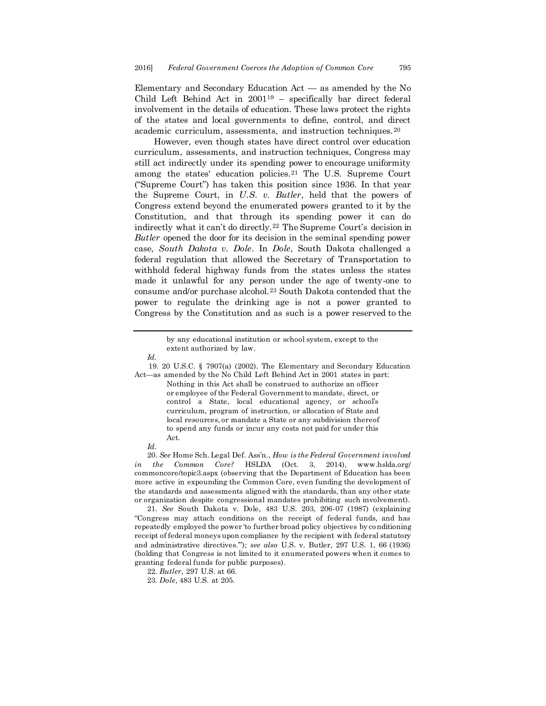Elementary and Secondary Education Act — as amended by the No Child Left Behind Act in 2001<sup>19</sup> – specifically bar direct federal involvement in the details of education. These laws protect the rights of the states and local governments to define, control, and direct academic curriculum, assessments, and instruction techniques.<sup>20</sup>

However, even though states have direct control over education curriculum, assessments, and instruction techniques, Congress may still act indirectly under its spending power to encourage uniformity among the states' education policies.<sup>21</sup> The U.S. Supreme Court ("Supreme Court") has taken this position since 1936. In that year the Supreme Court, in *U.S. v. Butler*, held that the powers of Congress extend beyond the enumerated powers granted to it by the Constitution, and that through its spending power it can do indirectly what it can't do directly.<sup>22</sup> The Supreme Court's decision in *Butler* opened the door for its decision in the seminal spending power case, *South Dakota v. Dole*. In *Dole*, South Dakota challenged a federal regulation that allowed the Secretary of Transportation to withhold federal highway funds from the states unless the states made it unlawful for any person under the age of twenty-one to consume and/or purchase alcohol.<sup>23</sup> South Dakota contended that the power to regulate the drinking age is not a power granted to Congress by the Constitution and as such is a power reserved to the

> by any educational institution or school system, except to the extent authorized by law.

19. 20 U.S.C. § 7907(a) (2002). The Elementary and Secondary Education Act—as amended by the No Child Left Behind Act in 2001 states in part:

Nothing in this Act shall be construed to authorize an officer or employee of the Federal Government to mandate, direct, or control a State, local educational agency, or school's curriculum, program of instruction, or allocation of State and local resources, or mandate a State or any subdivision thereof to spend any funds or incur any costs not paid for under this Act.

*Id.*

20. *See* Home Sch. Legal Def. Ass'n., *How is the Federal Government involved in the Common Core?* HSLDA (Oct. 3, 2014), www.hslda.org/ commoncore/topic3.aspx (observing that the Department of Education has been more active in expounding the Common Core, even funding the development of the standards and assessments aligned with the standards, than any other state or organization despite congressional mandates prohibiting such involvement).

21. *See* South Dakota v. Dole, 483 U.S. 203, 206-07 (1987) (explaining "Congress may attach conditions on the receipt of federal funds, and has repeatedly employed the power 'to further broad policy objectives by conditioning receipt of federal moneys upon compliance by the recipient with federal statutory and administrative directives.'"); *see also* U.S. v. Butler, 297 U.S. 1, 66 (1936) (holding that Congress is not limited to it enumerated powers when it comes to granting federal funds for public purposes).

*Id.*

<sup>22.</sup> *Butler*, 297 U.S. at 66.

<sup>23.</sup> *Dole*, 483 U.S. at 205.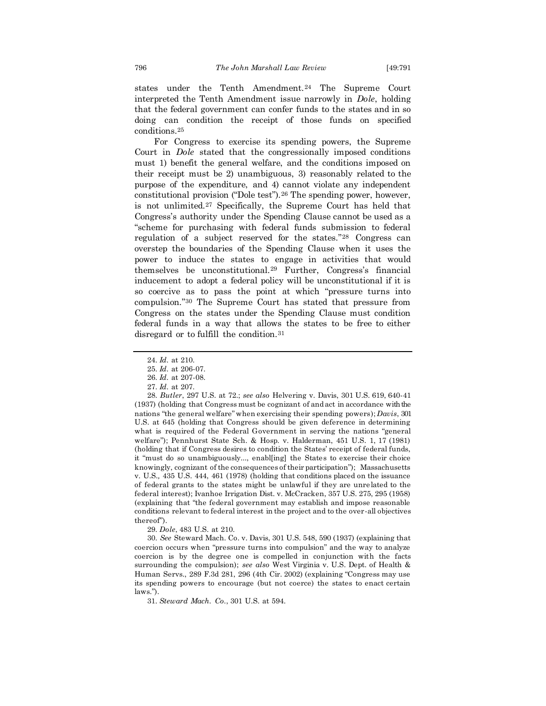states under the Tenth Amendment.<sup>24</sup> The Supreme Court interpreted the Tenth Amendment issue narrowly in *Dole*, holding that the federal government can confer funds to the states and in so doing can condition the receipt of those funds on specified conditions.<sup>25</sup>

For Congress to exercise its spending powers, the Supreme Court in *Dole* stated that the congressionally imposed conditions must 1) benefit the general welfare, and the conditions imposed on their receipt must be 2) unambiguous, 3) reasonably related to the purpose of the expenditure, and 4) cannot violate any independent constitutional provision ("Dole test").<sup>26</sup> The spending power, however, is not unlimited.<sup>27</sup> Specifically, the Supreme Court has held that Congress's authority under the Spending Clause cannot be used as a "scheme for purchasing with federal funds submission to federal regulation of a subject reserved for the states."<sup>28</sup> Congress can overstep the boundaries of the Spending Clause when it uses the power to induce the states to engage in activities that would themselves be unconstitutional.<sup>29</sup> Further, Congress's financial inducement to adopt a federal policy will be unconstitutional if it is so coercive as to pass the point at which "pressure turns into compulsion."<sup>30</sup> The Supreme Court has stated that pressure from Congress on the states under the Spending Clause must condition federal funds in a way that allows the states to be free to either disregard or to fulfill the condition.<sup>31</sup>

28. *Butler*, 297 U.S. at 72.; *see also* Helvering v. Davis, 301 U.S. 619, 640-41 (1937) (holding that Congress must be cognizant of and act in accordance with the nations "the general welfare" when exercising their spending powers); *Davis*, 301 U.S. at 645 (holding that Congress should be given deference in determining what is required of the Federal Government in serving the nations "general welfare"); Pennhurst State Sch. & Hosp. v. Halderman, 451 U.S. 1, 17 (1981) (holding that if Congress desires to condition the States' receipt of federal funds, it "must do so unambiguously..., enabl[ing] the States to exercise their choice knowingly, cognizant of the consequences of their participation"); Massachusetts v. U.S.*,* 435 U.S. 444, 461 (1978) (holding that conditions placed on the issuance of federal grants to the states might be unlawful if they are unre lated to the federal interest); Ivanhoe Irrigation Dist. v. McCracken, 357 U.S. 275, 295 (1958) (explaining that "the federal government may establish and impose reasonable conditions relevant to federal interest in the project and to the over-all objectives thereof").

29. *Dole*, 483 U.S. at 210.

30. *See* Steward Mach. Co. v. Davis, 301 U.S. 548, 590 (1937) (explaining that coercion occurs when "pressure turns into compulsion" and the way to analyze coercion is by the degree one is compelled in conjunction with the facts surrounding the compulsion); *see also* West Virginia v. U.S. Dept. of Health & Human Servs., 289 F.3d 281, 296 (4th Cir. 2002) (explaining "Congress may use its spending powers to encourage (but not coerce) the states to enact certain laws.").

31. *Steward Mach. Co.*, 301 U.S. at 594.

<sup>24.</sup> *Id.* at 210.

<sup>25.</sup> *Id.* at 206-07.

<sup>26.</sup> *Id.* at 207-08.

<sup>27.</sup> *Id.* at 207.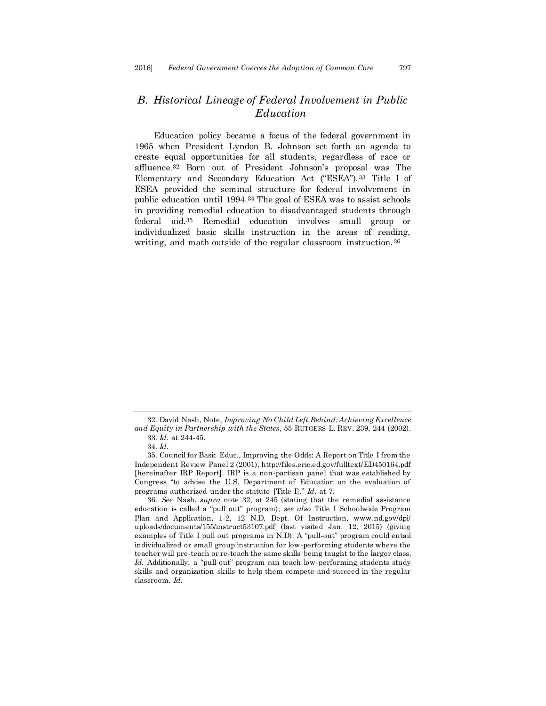# *B. Historical Lineage of Federal Involvement in Public Education*

Education policy became a focus of the federal government in 1965 when President Lyndon B. Johnson set forth an agenda to create equal opportunities for all students, regardless of race or affluence.<sup>32</sup> Born out of President Johnson's proposal was The Elementary and Secondary Education Act ("ESEA").<sup>33</sup> Title I of ESEA provided the seminal structure for federal involvement in public education until 1994.<sup>34</sup> The goal of ESEA was to assist schools in providing remedial education to disadvantaged students through federal aid.<sup>35</sup> Remedial education involves small group or individualized basic skills instruction in the areas of reading, writing, and math outside of the regular classroom instruction.<sup>36</sup>

36. *See* Nash, *supra* note 32, at 245 (stating that the remedial assistance education is called a "pull out" program); *see also* Title I Schoolwide Program Plan and Application, 1-2, 12 N.D. Dept. Of Instruction, www.nd.gov/dpi/ uploads/documents/155/instruct53107.pdf (last visited Jan. 12, 2015) (giving examples of Title I pull out programs in N.D). A "pull-out" program could entail individualized or small group instruction for low-performing students where the teacher will pre-teach or re-teach the same skills being taught to the larger class. Id. Additionally, a "pull-out" program can teach low-performing students study skills and organization skills to help them compete and succeed in the regular classroom. *Id.*

<sup>32.</sup> David Nash, Note, *Improving No Child Left Behind: Achieving Excellence and Equity in Partnership with the States*, 55 RUTGERS L. REV. 239, 244 (2002). 33. *Id.* at 244-45.

<sup>34.</sup> *Id.*

<sup>35.</sup> Council for Basic Educ., Improving the Odds: A Report on Title I from the Independent Review Panel 2 (2001), http://files.eric.ed.gov/fulltext/ED450164.pdf [hereinafter IRP Report]. IRP is a non-partisan panel that was established by Congress "to advise the U.S. Department of Education on the evaluation of programs authorized under the statute [Title I]." *Id.* at 7.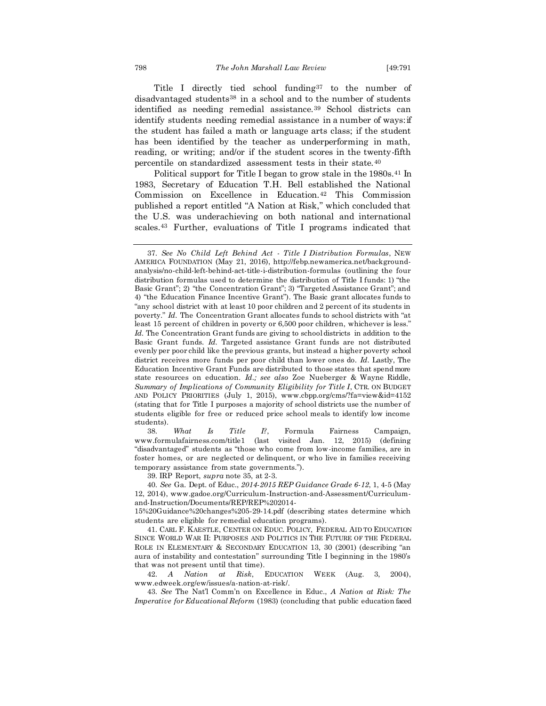Title I directly tied school funding<sup>37</sup> to the number of disadvantaged students<sup>38</sup> in a school and to the number of students identified as needing remedial assistance.<sup>39</sup> School districts can identify students needing remedial assistance in a number of ways: if the student has failed a math or language arts class; if the student has been identified by the teacher as underperforming in math, reading, or writing; and/or if the student scores in the twenty-fifth percentile on standardized assessment tests in their state.<sup>40</sup>

Political support for Title I began to grow stale in the 1980s.<sup>41</sup> In 1983, Secretary of Education T.H. Bell established the National Commission on Excellence in Education.<sup>42</sup> This Commission published a report entitled "A Nation at Risk," which concluded that the U.S. was underachieving on both national and international scales.<sup>43</sup> Further, evaluations of Title I programs indicated that

38. *What Is Title I?*, Formula Fairness Campaign, www.formulafairness.com/title1 (last visited Jan. 12, 2015) (defining "disadvantaged" students as "those who come from low-income families, are in foster homes, or are neglected or delinquent, or who live in families receiving temporary assistance from state governments.").

39. IRP Report, *supra* note 35, at 2-3.

40. *See* Ga. Dept. of Educ., *2014-2015 REP Guidance Grade 6-12*, 1, 4-5 (May 12, 2014), www.gadoe.org/Curriculum-Instruction-and-Assessment/Curriculumand-Instruction/Documents/REP/REP%202014-

15%20Guidance%20changes%205-29-14.pdf (describing states determine which students are eligible for remedial education programs).

41. CARL F. KAESTLE, CENTER ON EDUC. POLICY, FEDERAL AID TO EDUCATION SINCE WORLD WAR II: PURPOSES AND POLITICS IN THE FUTURE OF THE FEDERAL ROLE IN ELEMENTARY & SECONDARY EDUCATION 13, 30 (2001) (describing "an aura of instability and contestation" surrounding Title I beginning in the 1980's that was not present until that time).

42. *A Nation at Risk*, EDUCATION WEEK (Aug. 3, 2004), www.edweek.org/ew/issues/a-nation-at-risk/.

43. *See* The Nat'l Comm'n on Excellence in Educ., *A Nation at Risk: The Imperative for Educational Reform* (1983) (concluding that public education faced

<sup>37.</sup> *See No Child Left Behind Act - Title I Distribution Formulas*, NEW AMERICA FOUNDATION (May 21, 2016), http://febp.newamerica.net/backgroundanalysis/no-child-left-behind-act-title-i-distribution-formulas (outlining the four distribution formulas used to determine the distribution of Title I funds: 1) "the Basic Grant"; 2) "the Concentration Grant"; 3) "Targeted Assistance Grant"; and 4) "the Education Finance Incentive Grant"). The Basic grant allocates funds to "any school district with at least 10 poor children and 2 percent of its students in poverty." *Id.* The Concentration Grant allocates funds to school districts with "at least 15 percent of children in poverty or 6,500 poor children, whichever is less." *Id.* The Concentration Grant funds are giving to school districts in addition to the Basic Grant funds. *Id.* Targeted assistance Grant funds are not distributed evenly per poor child like the previous grants, but instead a higher poverty school district receives more funds per poor child than lower ones do. *Id.* Lastly, The Education Incentive Grant Funds are distributed to those states that spend more state resources on education. *Id.; see also* Zoe Nueberger & Wayne Riddle, *Summary of Implications of Community Eligibility for Title I*, CTR. ON BUDGET AND POLICY PRIORITIES (July 1, 2015), www.cbpp.org/cms/?fa=view&id=4152 (stating that for Title I purposes a majority of school districts use the number of students eligible for free or reduced price school meals to identify low income students).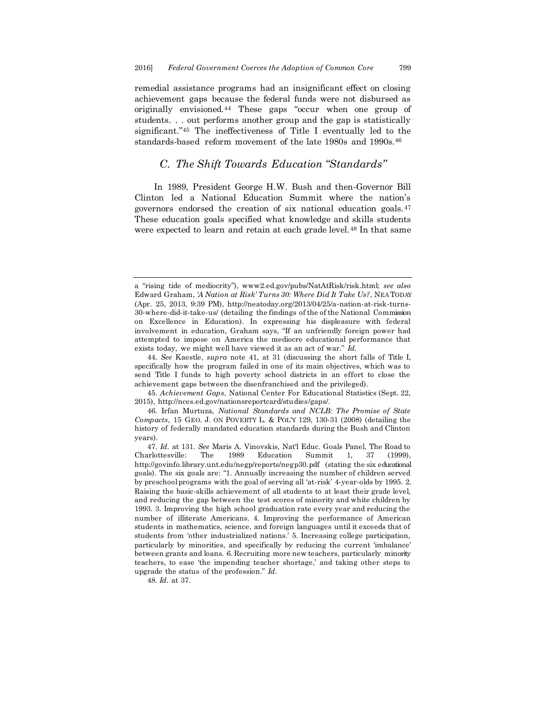remedial assistance programs had an insignificant effect on closing achievement gaps because the federal funds were not disbursed as originally envisioned.<sup>44</sup> These gaps "occur when one group of students. . . out performs another group and the gap is statistically significant."<sup>45</sup> The ineffectiveness of Title I eventually led to the standards-based reform movement of the late 1980s and 1990s.<sup>46</sup>

### *C. The Shift Towards Education "Standards"*

In 1989, President George H.W. Bush and then-Governor Bill Clinton led a National Education Summit where the nation's governors endorsed the creation of six national education goals.<sup>47</sup> These education goals specified what knowledge and skills students were expected to learn and retain at each grade level.<sup>48</sup> In that same

45. *Achievement Gaps*, National Center For Educational Statistics (Sept. 22, 2015), http://nces.ed.gov/nationsreportcard/studies/gaps/.

46. Irfan Murtuza, *National Standards and NCLB: The Promise of State Compacts*, 15 GEO. J. ON POVERTY L. & POL'Y 129, 130-31 (2008) (detailing the history of federally mandated education standards during the Bush and Clinton years).

a "rising tide of mediocrity"), www2.ed.gov/pubs/NatAtRisk/risk.html; *see also* Edward Graham, *'A Nation at Risk' Turns 30: Where Did It Take Us?*, NEA TODAY (Apr. 25, 2013, 9:39 PM), http://neatoday.org/2013/04/25/a-nation-at-risk-turns-30-where-did-it-take-us/ (detailing the findings of the of the National Commission on Excellence in Education). In expressing his displeasure with federal involvement in education, Graham says, "If an unfriendly foreign power had attempted to impose on America the mediocre educational performance that exists today, we might well have viewed it as an act of war." *Id.*

<sup>44.</sup> *See* Kaestle, *supra* note 41, at 31 (discussing the short falls of Title I, specifically how the program failed in one of its main objectives, which was to send Title I funds to high poverty school districts in an effort to close the achievement gaps between the disenfranchised and the privileged).

<sup>47.</sup> *Id.* at 131. *See* Maris A. Vinovskis, Nat'l Educ. Goals Panel, The Road to Charlottesville: The 1989 Education Summit 1, 37 (1999), http://govinfo.library.unt.edu/negp/reports/negp30.pdf (stating the six educational goals). The six goals are: "1. Annually increasing the number of children served by preschool programs with the goal of serving all 'at-risk' 4-year-olds by 1995. 2. Raising the basic-skills achievement of all students to at least their grade level, and reducing the gap between the test scores of minority and white children by 1993. 3. Improving the high school graduation rate every year and reducing the number of illiterate Americans. 4. Improving the performance of American students in mathematics, science, and foreign languages until it exceeds that of students from 'other industrialized nations.' 5. Increasing college participation, particularly by minorities, and specifically by reducing the current 'imbalance' between grants and loans. 6. Recruiting more new teachers, particularly minority teachers, to ease 'the impending teacher shortage,' and taking other steps to upgrade the status of the profession." *Id.*

<sup>48.</sup> *Id.* at 37.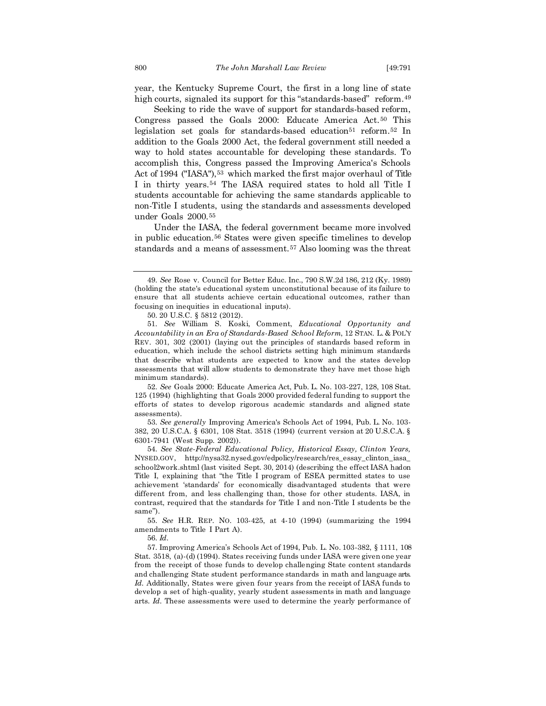year, the Kentucky Supreme Court, the first in a long line of state high courts, signaled its support for this "standards-based" reform.<sup>49</sup>

Seeking to ride the wave of support for standards-based reform, Congress passed the Goals 2000: Educate America Act.<sup>50</sup> This legislation set goals for standards-based education<sup>51</sup> reform.<sup>52</sup> In addition to the Goals 2000 Act, the federal government still needed a way to hold states accountable for developing these standards. To accomplish this, Congress passed the Improving America's Schools Act of 1994 ("IASA"),<sup>53</sup> which marked the first major overhaul of Title I in thirty years.<sup>54</sup> The IASA required states to hold all Title I students accountable for achieving the same standards applicable to non-Title I students, using the standards and assessments developed under Goals 2000.<sup>55</sup>

Under the IASA, the federal government became more involved in public education.<sup>56</sup> States were given specific timelines to develop standards and a means of assessment.<sup>57</sup> Also looming was the threat

52. *See* Goals 2000: Educate America Act, Pub. L. No. 103-227, 128, 108 Stat. 125 (1994) (highlighting that Goals 2000 provided federal funding to support the efforts of states to develop rigorous academic standards and aligned state assessments).

53. *See generally* Improving America's Schools Act of 1994, Pub. L. No. 103- 382, 20 U.S.C.A. § 6301, 108 Stat. 3518 (1994) (current version at 20 U.S.C.A. § 6301-7941 (West Supp. 2002)).

54. *See State-Federal Educational Policy, Historical Essay, Clinton Years,*  NYSED.GOV, http://nysa32.nysed.gov/edpolicy/research/res\_essay\_clinton\_iasa\_ school2work.shtml (last visited Sept. 30, 2014) (describing the effect IASA had on Title I, explaining that "the Title I program of ESEA permitted states to use achievement 'standards' for economically disadvantaged students that were different from, and less challenging than, those for other students. IASA, in contrast, required that the standards for Title I and non-Title I students be the same").

55. *See* H.R. REP. NO. 103-425, at 4-10 (1994) (summarizing the 1994 amendments to Title I Part A).

56. *Id.*

57. Improving America's Schools Act of 1994, Pub. L. No. 103-382, § 1111, 108 Stat. 3518, (a)-(d) (1994). States receiving funds under IASA were given one year from the receipt of those funds to develop challenging State content standards and challenging State student performance standards in math and language arts. *Id.* Additionally, States were given four years from the receipt of IASA funds to develop a set of high-quality, yearly student assessments in math and language arts. *Id.* These assessments were used to determine the yearly performance of

<sup>49.</sup> *See* Rose v. Council for Better Educ. Inc., 790 S.W.2d 186, 212 (Ky. 1989) (holding the state's educational system unconstitutional because of its failure to ensure that all students achieve certain educational outcomes, rather than focusing on inequities in educational inputs).

<sup>50.</sup> 20 U.S.C. § 5812 (2012).

<sup>51.</sup> *See* William S. Koski, Comment, *Educational Opportunity and Accountability in an Era of Standards-Based School Reform*, 12 STAN. L. & POL'Y REV. 301, 302 (2001) (laying out the principles of standards based reform in education, which include the school districts setting high minimum standards that describe what students are expected to know and the states develop assessments that will allow students to demonstrate they have met those high minimum standards).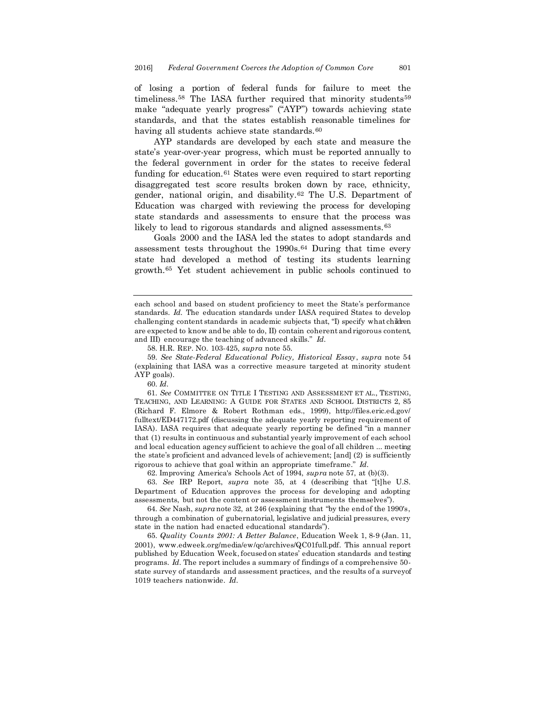of losing a portion of federal funds for failure to meet the timeliness.<sup>58</sup> The IASA further required that minority students<sup>59</sup> make "adequate yearly progress" ("AYP") towards achieving state standards, and that the states establish reasonable timelines for having all students achieve state standards.<sup>60</sup>

AYP standards are developed by each state and measure the state's year-over-year progress, which must be reported annually to the federal government in order for the states to receive federal funding for education.<sup>61</sup> States were even required to start reporting disaggregated test score results broken down by race, ethnicity, gender, national origin, and disability.<sup>62</sup> The U.S. Department of Education was charged with reviewing the process for developing state standards and assessments to ensure that the process was likely to lead to rigorous standards and aligned assessments.<sup>63</sup>

Goals 2000 and the IASA led the states to adopt standards and assessment tests throughout the 1990s.<sup>64</sup> During that time every state had developed a method of testing its students learning growth.<sup>65</sup> Yet student achievement in public schools continued to

58. H.R. REP. NO. 103-425, *supra* note 55.

59. *See State-Federal Educational Policy, Historical Essay*, *supra* note 54 (explaining that IASA was a corrective measure targeted at minority student AYP goals).

60. *Id.*

61. *See* COMMITTEE ON TITLE I TESTING AND ASSESSMENT ET AL., TESTING, TEACHING, AND LEARNING: A GUIDE FOR STATES AND SCHOOL DISTRICTS 2, 85 (Richard F. Elmore & Robert Rothman eds., 1999), http://files.eric.ed.gov/ fulltext/ED447172.pdf (discussing the adequate yearly reporting requirement of IASA). IASA requires that adequate yearly reporting be defined "in a manner that (1) results in continuous and substantial yearly improvement of each school and local education agency sufficient to achieve the goal of all children ... meeting the state's proficient and advanced levels of achievement; [and] (2) is sufficiently rigorous to achieve that goal within an appropriate timeframe." *Id.*

62. Improving America's Schools Act of 1994, *supra* note 57, at (b)(3).

63. *See* IRP Report, *supra* note 35, at 4 (describing that "[t]he U.S. Department of Education approves the process for developing and adopting assessments, but not the content or assessment instruments themselves").

64. *See* Nash, *supra* note 32, at 246 (explaining that "by the end of the 1990's, through a combination of gubernatorial, legislative and judicial pressures, every state in the nation had enacted educational standards").

65. *Quality Counts 2001: A Better Balance*, Education Week 1, 8-9 (Jan. 11, 2001), www.edweek.org/media/ew/qc/archives/QC01full.pdf. This annual report published by Education Week, focused on states' education standards and testing programs. *Id.* The report includes a summary of findings of a comprehensive 50 state survey of standards and assessment practices, and the results of a survey of 1019 teachers nationwide. *Id.*

each school and based on student proficiency to meet the State's performance standards. *Id.* The education standards under IASA required States to develop challenging content standards in academic subjects that, "I) specify what children are expected to know and be able to do, II) contain coherent and rigorous content, and III) encourage the teaching of advanced skills." *Id.*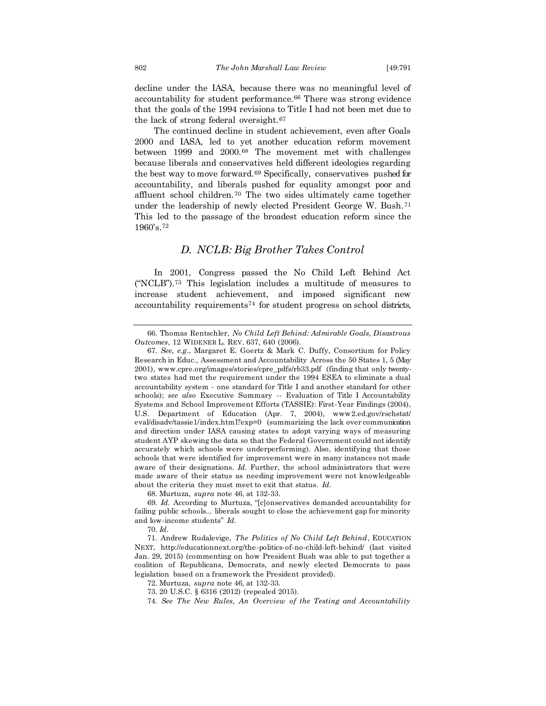decline under the IASA, because there was no meaningful level of accountability for student performance.<sup>66</sup> There was strong evidence that the goals of the 1994 revisions to Title I had not been met due to the lack of strong federal oversight.<sup>67</sup>

The continued decline in student achievement, even after Goals 2000 and IASA, led to yet another education reform movement between 1999 and 2000.<sup>68</sup> The movement met with challenges because liberals and conservatives held different ideologies regarding the best way to move forward.<sup>69</sup> Specifically, conservatives pushed for accountability, and liberals pushed for equality amongst poor and affluent school children.<sup>70</sup> The two sides ultimately came together under the leadership of newly elected President George W. Bush.<sup>71</sup> This led to the passage of the broadest education reform since the 1960's.<sup>72</sup>

#### *D. NCLB: Big Brother Takes Control*

In 2001, Congress passed the No Child Left Behind Act ("NCLB").<sup>73</sup> This legislation includes a multitude of measures to increase student achievement, and imposed significant new accountability requirements<sup>74</sup> for student progress on school districts,

68. Murtuza, *supra* note 46, at 132-33.

<sup>66.</sup> Thomas Rentschler, *No Child Left Behind: Admirable Goals, Disastrous Outcomes*, 12 WIDENER L. REV. 637, 640 (2006).

<sup>67.</sup> *See, e.g*., Margaret E. Goertz & Mark C. Duffy, Consortium for Policy Research in Educ., Assessment and Accountability Across the 50 States 1, 5 (May 2001), www.cpre.org/images/stories/cpre\_pdfs/rb33.pdf (finding that only twentytwo states had met the requirement under the 1994 ESEA to eliminate a dual accountability system - one standard for Title I and another standard for other schools); *see also* Executive Summary -- Evaluation of Title I Accountability Systems and School Improvement Efforts (TASSIE): First-Year Findings (2004), U.S. Department of Education (Apr. 7, 2004), www2.ed.gov/rschstat/ eval/disadv/tassie1/index.html?exp=0 (summarizing the lack over communication and direction under IASA causing states to adopt varying ways of measuring student AYP skewing the data so that the Federal Government could not identify accurately which schools were underperforming). Also, identifying that those schools that were identified for improvement were in many instances not made aware of their designations. *Id.* Further, the school administrators that were made aware of their status as needing improvement were not knowledgeable about the criteria they must meet to exit that status. *Id.*

<sup>69.</sup> *Id.* According to Murtuza, "[c]onservatives demanded accountability for failing public schools... liberals sought to close the achievement gap for minority and low-income students" *Id.*

<sup>70.</sup> *Id.*

<sup>71.</sup> Andrew Rudalevige, *The Politics of No Child Left Behind*, EDUCATION NEXT, http://educationnext.org/the-politics-of-no-child-left-behind/ (last visited Jan. 29, 2015) (commenting on how President Bush was able to put together a coalition of Republicans, Democrats, and newly elected Democrats to pass legislation based on a framework the President provided).

<sup>72.</sup> Murtuza, *supra* note 46, at 132-33*.*

<sup>73.</sup> 20 U.S.C. § 6316 (2012) (repealed 2015).

<sup>74.</sup> *See The New Rules, An Overview of the Testing and Accountability*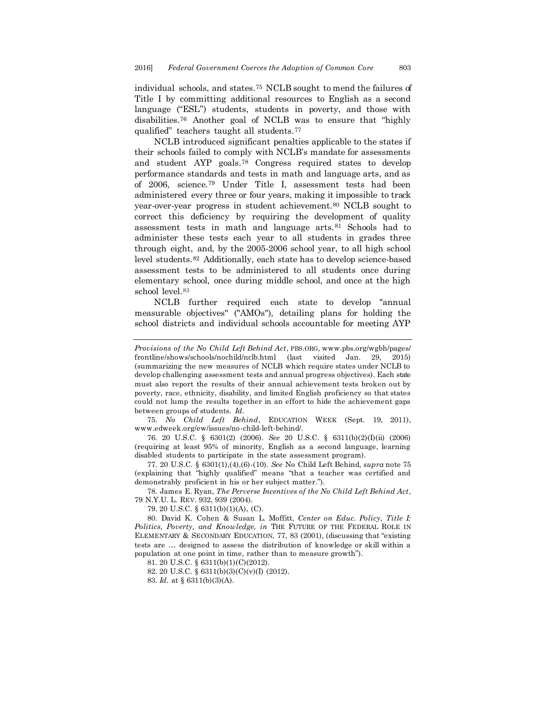individual schools, and states.<sup>75</sup> NCLB sought to mend the failures of Title I by committing additional resources to English as a second language ("ESL") students, students in poverty, and those with disabilities.<sup>76</sup> Another goal of NCLB was to ensure that "highly qualified" teachers taught all students.<sup>77</sup>

NCLB introduced significant penalties applicable to the states if their schools failed to comply with NCLB's mandate for assessments and student AYP goals.<sup>78</sup> Congress required states to develop performance standards and tests in math and language arts, and as of 2006, science.<sup>79</sup> Under Title I, assessment tests had been administered every three or four years, making it impossible to track year-over-year progress in student achievement.<sup>80</sup> NCLB sought to correct this deficiency by requiring the development of quality assessment tests in math and language arts.<sup>81</sup> Schools had to administer these tests each year to all students in grades three through eight, and, by the 2005-2006 school year, to all high school level students.<sup>82</sup> Additionally, each state has to develop science-based assessment tests to be administered to all students once during elementary school, once during middle school, and once at the high school level.<sup>83</sup>

NCLB further required each state to develop "annual measurable objectives" ("AMOs"), detailing plans for holding the school districts and individual schools accountable for meeting AYP

75. *No Child Left Behind*, EDUCATION WEEK (Sept. 19, 2011), www.edweek.org/ew/issues/no-child-left-behind/.

76. 20 U.S.C. § 6301(2) (2006). *See* 20 U.S.C. § 6311(b)(2)(I)(ii) (2006) (requiring at least 95% of minority, English as a second language, learning disabled students to participate in the state assessment program).

77. 20 U.S.C. § 6301(1),(4),(6)-(10). *See* No Child Left Behind*, supra* note 75 (explaining that "highly qualified" means "that a teacher was certified and demonstrably proficient in his or her subject matter.").

78. James E. Ryan, *The Perverse Incentives of the No Child Left Behind Act*, 79 N.Y.U. L. REV. 932, 939 (2004).

79. 20 U.S.C. § 6311(b)(1)(A), (C).

80. David K. Cohen & Susan L. Moffitt, *Center on Educ. Policy, Title I: Politics, Poverty, and Knowledge, in* THE FUTURE OF THE FEDERAL ROLE IN ELEMENTARY & SECONDARY EDUCATION, 77, 83 (2001), (discussing that "existing tests are … designed to assess the distribution of knowledge or skill within a population at one point in time, rather than to measure growth").

81. 20 U.S.C. § 6311(b)(1)(C)(2012).

82. 20 U.S.C. § 6311(b)(3)(C)(v)(I) (2012).

83. *Id.* at § 6311(b)(3)(A).

*Provisions of the No Child Left Behind Act*, PBS.ORG, www.pbs.org/wgbh/pages/ frontline/shows/schools/nochild/nclb.html (last visited Jan. 29, 2015) (summarizing the new measures of NCLB which require states under NCLB to develop challenging assessment tests and annual progress objectives). Each state must also report the results of their annual achievement tests broken out by poverty, race, ethnicity, disability, and limited English proficiency so that states could not lump the results together in an effort to hide the achievement gaps between groups of students. *Id.*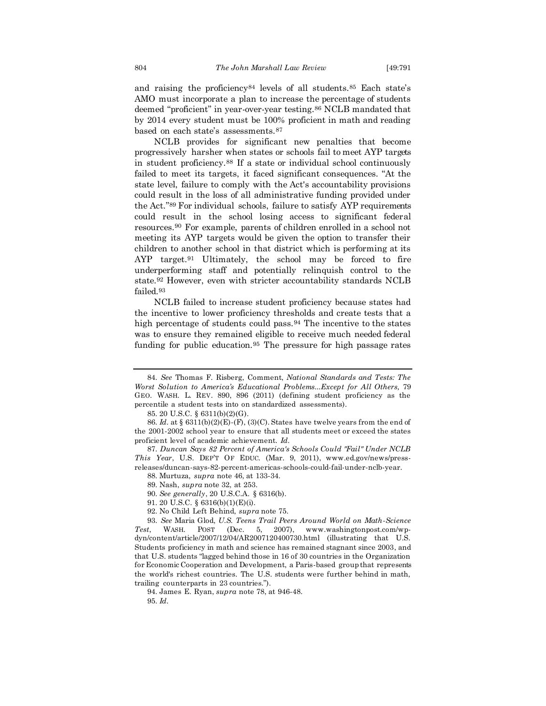and raising the proficiency<sup>84</sup> levels of all students.<sup>85</sup> Each state's AMO must incorporate a plan to increase the percentage of students deemed "proficient" in year-over-year testing.<sup>86</sup> NCLB mandated that by 2014 every student must be 100% proficient in math and reading based on each state's assessments.<sup>87</sup>

NCLB provides for significant new penalties that become progressively harsher when states or schools fail to meet AYP targets in student proficiency.<sup>88</sup> If a state or individual school continuously failed to meet its targets, it faced significant consequences. "At the state level, failure to comply with the Act's accountability provisions could result in the loss of all administrative funding provided under the Act."<sup>89</sup> For individual schools, failure to satisfy AYP requirements could result in the school losing access to significant federal resources.<sup>90</sup> For example, parents of children enrolled in a school not meeting its AYP targets would be given the option to transfer their children to another school in that district which is performing at its AYP target.<sup>91</sup> Ultimately, the school may be forced to fire underperforming staff and potentially relinquish control to the state.<sup>92</sup> However, even with stricter accountability standards NCLB failed.<sup>93</sup>

NCLB failed to increase student proficiency because states had the incentive to lower proficiency thresholds and create tests that a high percentage of students could pass.<sup>94</sup> The incentive to the states was to ensure they remained eligible to receive much needed federal funding for public education.<sup>95</sup> The pressure for high passage rates

92. No Child Left Behind, *supra* note 75.

93. *See* Maria Glod, *U.S. Teens Trail Peers Around World on Math-Science Test*, WASH. POST (Dec. 5, 2007), www.washingtonpost.com/wpdyn/content/article/2007/12/04/AR2007120400730.html (illustrating that U.S. Students proficiency in math and science has remained stagnant since 2003, and that U.S. students "lagged behind those in 16 of 30 countries in the Organization for Economic Cooperation and Development, a Paris-based group that represents the world's richest countries. The U.S. students were further behind in math, trailing counterparts in 23 countries.").

94. James E. Ryan, *supra* note 78, at 946-48.

<sup>84.</sup> *See* Thomas F. Risberg, Comment, *National Standards and Tests: The Worst Solution to America's Educational Problems...Except for All Others,* 79 GEO. WASH. L. REV. 890, 896 (2011) (defining student proficiency as the percentile a student tests into on standardized assessments).

<sup>85.</sup> 20 U.S.C. § 6311(b)(2)(G).

<sup>86.</sup> *Id.* at § 6311(b)(2)(E)-(F), (3)(C). States have twelve years from the end of the 2001-2002 school year to ensure that all students meet or exceed the states proficient level of academic achievement. *Id.*

<sup>87.</sup> *Duncan Says 82 Percent of America's Schools Could "Fail" Under NCLB This Year*, U.S. DEP'T OF EDUC. (Mar. 9, 2011), www.ed.gov/news/pressreleases/duncan-says-82-percent-americas-schools-could-fail-under-nclb-year.

<sup>88.</sup> Murtuza, *supra* note 46, at 133-34.

<sup>89.</sup> Nash, *supra* note 32, at 253.

<sup>90.</sup> *See generally*, 20 U.S.C.A. § 6316(b).

<sup>91.</sup> 20 U.S.C. § 6316(b)(1)(E)(i).

<sup>95.</sup> *Id.*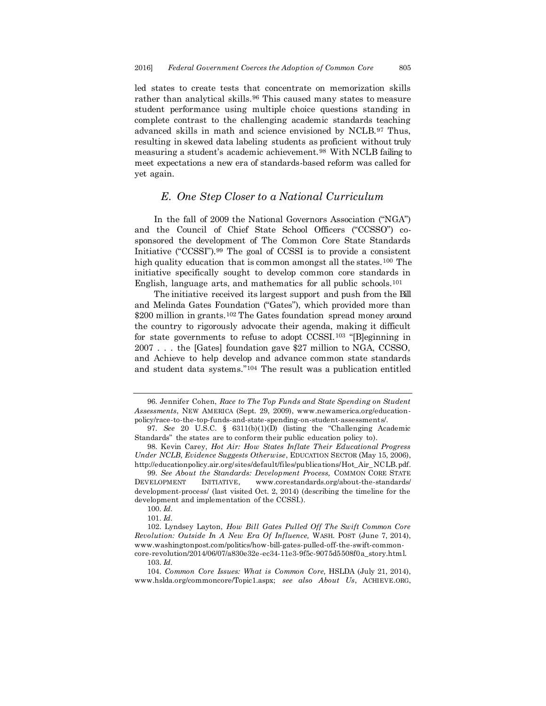led states to create tests that concentrate on memorization skills rather than analytical skills.<sup>96</sup> This caused many states to measure student performance using multiple choice questions standing in complete contrast to the challenging academic standards teaching advanced skills in math and science envisioned by NCLB.<sup>97</sup> Thus, resulting in skewed data labeling students as proficient without truly measuring a student's academic achievement.<sup>98</sup> With NCLB failing to meet expectations a new era of standards-based reform was called for yet again.

#### *E. One Step Closer to a National Curriculum*

In the fall of 2009 the National Governors Association ("NGA") and the Council of Chief State School Officers ("CCSSO") cosponsored the development of The Common Core State Standards Initiative ("CCSSI").<sup>99</sup> The goal of CCSSI is to provide a consistent high quality education that is common amongst all the states.<sup>100</sup> The initiative specifically sought to develop common core standards in English, language arts, and mathematics for all public schools.<sup>101</sup>

The initiative received its largest support and push from the Bill and Melinda Gates Foundation ("Gates"), which provided more than \$200 million in grants.<sup>102</sup> The Gates foundation spread money around the country to rigorously advocate their agenda, making it difficult for state governments to refuse to adopt CCSSI.<sup>103</sup> "[B]eginning in 2007 . . . the [Gates] foundation gave \$27 million to NGA, CCSSO, and Achieve to help develop and advance common state standards and student data systems."<sup>104</sup> The result was a publication entitled

100. *Id.*

101. *Id.*

<sup>96.</sup> Jennifer Cohen, *Race to The Top Funds and State Spending on Student Assessments*, NEW AMERICA (Sept. 29, 2009), www.newamerica.org/educationpolicy/race-to-the-top-funds-and-state-spending-on-student-assessments/.

<sup>97.</sup> *See* 20 U.S.C. § 6311(b)(1)(D) (listing the "Challenging Academic Standards" the states are to conform their public education policy to).

<sup>98.</sup> Kevin Carey, *Hot Air: How States Inflate Their Educational Progress Under NCLB, Evidence Suggests Otherwise*, EDUCATION SECTOR (May 15, 2006), http://educationpolicy.air.org/sites/default/files/publications/Hot\_Air\_NCLB.pdf.

<sup>99.</sup> *See About the Standards: Development Process,* COMMON CORE STATE DEVELOPMENT INITIATIVE, www.corestandards.org/about-the-standards/ development-process/ (last visited Oct. 2, 2014) (describing the timeline for the development and implementation of the CCSSI.).

<sup>102.</sup> Lyndsey Layton, *How Bill Gates Pulled Off The Swift Common Core Revolution: Outside In A New Era Of Influence,* WASH. POST (June 7, 2014), www.washingtonpost.com/politics/how-bill-gates-pulled-off-the-swift-commoncore-revolution/2014/06/07/a830e32e-ec34-11e3-9f5c-9075d5508f0a\_story.html.

<sup>103.</sup> *Id.*

<sup>104.</sup> *Common Core Issues: What is Common Core,* HSLDA (July 21, 2014), www.hslda.org/commoncore/Topic1.aspx; *see also About Us*, ACHIEVE.ORG,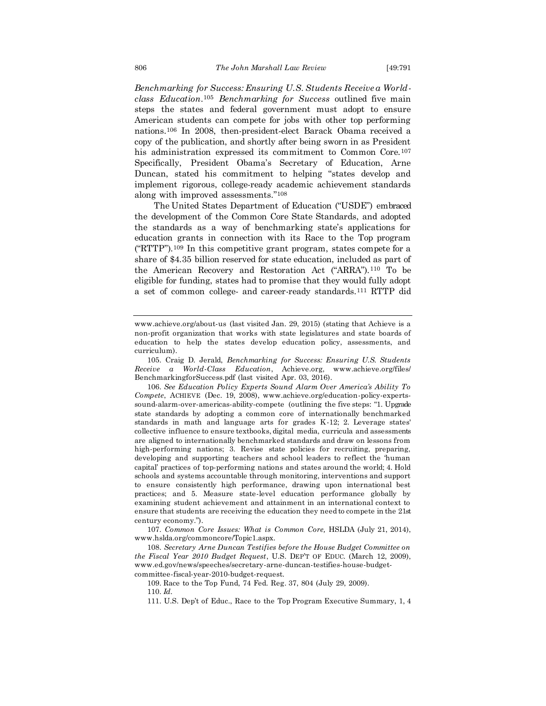*Benchmarking for Success: Ensuring U.S. Students Receive a Worldclass Education*. <sup>105</sup> *Benchmarking for Success* outlined five main steps the states and federal government must adopt to ensure American students can compete for jobs with other top performing nations.<sup>106</sup> In 2008, then-president-elect Barack Obama received a copy of the publication, and shortly after being sworn in as President his administration expressed its commitment to Common Core.<sup>107</sup> Specifically, President Obama's Secretary of Education, Arne Duncan, stated his commitment to helping "states develop and implement rigorous, college-ready academic achievement standards along with improved assessments."<sup>108</sup>

The United States Department of Education ("USDE") embraced the development of the Common Core State Standards, and adopted the standards as a way of benchmarking state's applications for education grants in connection with its Race to the Top program ("RTTP").<sup>109</sup> In this competitive grant program, states compete for a share of \$4.35 billion reserved for state education, included as part of the American Recovery and Restoration Act ("ARRA").<sup>110</sup> To be eligible for funding, states had to promise that they would fully adopt a set of common college- and career-ready standards.<sup>111</sup> RTTP did

109. Race to the Top Fund, 74 Fed. Reg. 37, 804 (July 29, 2009).

110. *Id.*

www.achieve.org/about-us (last visited Jan. 29, 2015) (stating that Achieve is a non-profit organization that works with state legislatures and state boards of education to help the states develop education policy, assessments, and curriculum).

<sup>105.</sup> Craig D. Jerald, *Benchmarking for Success: Ensuring U.S. Students Receive a World-Class Education*, Achieve.org, www.achieve.org/files/ BenchmarkingforSuccess.pdf (last visited Apr. 03, 2016).

<sup>106.</sup> *See Education Policy Experts Sound Alarm Over America's Ability To Compete*, ACHIEVE (Dec. 19, 2008), www.achieve.org/education-policy-expertssound-alarm-over-americas-ability-compete (outlining the five steps: "1. Upgrade state standards by adopting a common core of internationally benchmarked standards in math and language arts for grades K-12; 2. Leverage states' collective influence to ensure textbooks, digital media, curricula and assessments are aligned to internationally benchmarked standards and draw on lessons from high-performing nations; 3. Revise state policies for recruiting, preparing, developing and supporting teachers and school leaders to reflect the 'human capital' practices of top-performing nations and states around the world; 4. Hold schools and systems accountable through monitoring, interventions and support to ensure consistently high performance, drawing upon international best practices; and 5. Measure state-level education performance globally by examining student achievement and attainment in an international context to ensure that students are receiving the education they need to compete in the 21st century economy.").

<sup>107.</sup> *Common Core Issues: What is Common Core,* HSLDA (July 21, 2014), www.hslda.org/commoncore/Topic1.aspx.

<sup>108.</sup> *Secretary Arne Duncan Testifies before the House Budget Committee on the Fiscal Year 2010 Budget Request*, U.S. DEP'T OF EDUC. (March 12, 2009), www.ed.gov/news/speeches/secretary-arne-duncan-testifies-house-budgetcommittee-fiscal-year-2010-budget-request.

<sup>111.</sup> U.S. Dep't of Educ., Race to the Top Program Executive Summary, 1, 4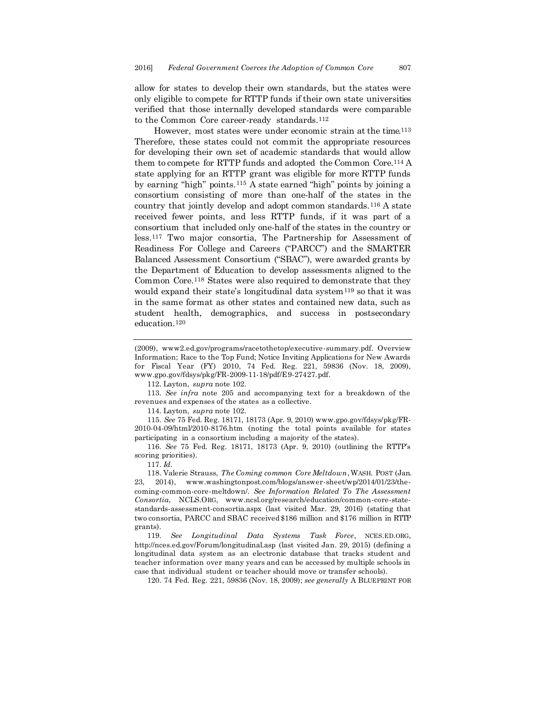allow for states to develop their own standards, but the states were only eligible to compete for RTTP funds if their own state universities verified that those internally developed standards were comparable to the Common Core career-ready standards.<sup>112</sup>

However, most states were under economic strain at the time.<sup>113</sup> Therefore, these states could not commit the appropriate resources for developing their own set of academic standards that would allow them to compete for RTTP funds and adopted the Common Core.<sup>114</sup> A state applying for an RTTP grant was eligible for more RTTP funds by earning "high" points.<sup>115</sup> A state earned "high" points by joining a consortium consisting of more than one-half of the states in the country that jointly develop and adopt common standards.<sup>116</sup> A state received fewer points, and less RTTP funds, if it was part of a consortium that included only one-half of the states in the country or less.<sup>117</sup> Two major consortia, The Partnership for Assessment of Readiness For College and Careers ("PARCC") and the SMARTER Balanced Assessment Consortium ("SBAC"), were awarded grants by the Department of Education to develop assessments aligned to the Common Core.<sup>118</sup> States were also required to demonstrate that they would expand their state's longitudinal data system<sup>119</sup> so that it was in the same format as other states and contained new data, such as student health, demographics, and success in postsecondary education.<sup>120</sup>

112. Layton, *supra* note 102.

113. *See infra* note 205 and accompanying text for a breakdown of the revenues and expenses of the states as a collective.

114. Layton, *supra* note 102.

115. *See* 75 Fed. Reg. 18171, 18173 (Apr. 9, 2010) www.gpo.gov/fdsys/pkg/FR-2010-04-09/html/2010-8176.htm (noting the total points available for states participating in a consortium including a majority of the states).

116. *See* 75 Fed. Reg. 18171, 18173 (Apr. 9, 2010) (outlining the RTTP's scoring priorities).

117. *Id.* 

118. Valerie Strauss, *The Coming common Core Meltdown*, WASH. POST (Jan. 23, 2014), www.washingtonpost.com/blogs/answer-sheet/wp/2014/01/23/thecoming-common-core-meltdown/. *See Information Related To The Assessment Consortia*, NCLS.ORG, www.ncsl.org/research/education/common-core-statestandards-assessment-consortia.aspx (last visited Mar. 29, 2016) (stating that two consortia, PARCC and SBAC received \$186 million and \$176 million in RTTP grants).

119. *See Longitudinal Data Systems Task Force*, NCES.ED.ORG, http://nces.ed.gov/Forum/longitudinal.asp (last visited Jan. 29, 2015) (defining a longitudinal data system as an electronic database that tracks student and teacher information over many years and can be accessed by multiple schools in case that individual student or teacher should move or transfer schools).

120. 74 Fed. Reg. 221, 59836 (Nov. 18, 2009); *see generally* A BLUEPRINT FOR

<sup>(2009),</sup> www2.ed.gov/programs/racetothetop/executive-summary.pdf. Overview Information; Race to the Top Fund; Notice Inviting Applications for New Awards for Fiscal Year (FY) 2010, 74 Fed. Reg. 221, 59836 (Nov. 18, 2009), www.gpo.gov/fdsys/pkg/FR-2009-11-18/pdf/E9-27427.pdf.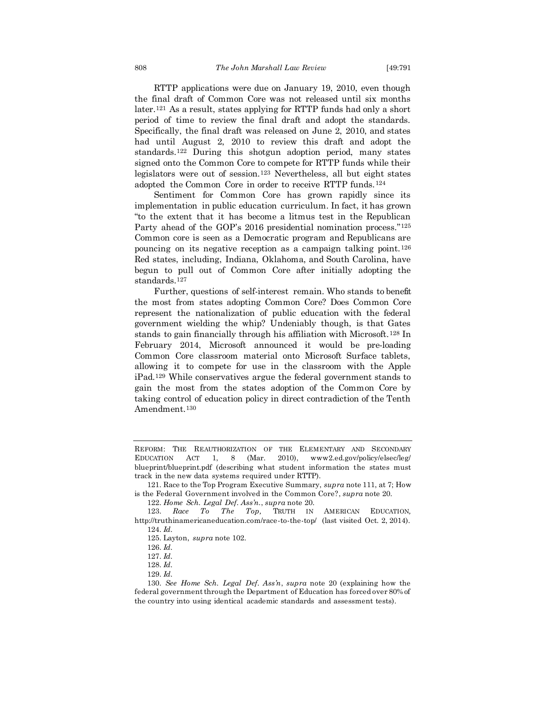RTTP applications were due on January 19, 2010, even though the final draft of Common Core was not released until six months later.<sup>121</sup> As a result, states applying for RTTP funds had only a short period of time to review the final draft and adopt the standards. Specifically, the final draft was released on June 2, 2010, and states had until August 2, 2010 to review this draft and adopt the standards.<sup>122</sup> During this shotgun adoption period, many states signed onto the Common Core to compete for RTTP funds while their legislators were out of session.<sup>123</sup> Nevertheless, all but eight states adopted the Common Core in order to receive RTTP funds.<sup>124</sup>

Sentiment for Common Core has grown rapidly since its implementation in public education curriculum. In fact, it has grown "to the extent that it has become a litmus test in the Republican Party ahead of the GOP's 2016 presidential nomination process."<sup>125</sup> Common core is seen as a Democratic program and Republicans are pouncing on its negative reception as a campaign talking point.<sup>126</sup> Red states, including, Indiana, Oklahoma, and South Carolina, have begun to pull out of Common Core after initially adopting the standards.<sup>127</sup>

Further, questions of self-interest remain. Who stands to benefit the most from states adopting Common Core? Does Common Core represent the nationalization of public education with the federal government wielding the whip? Undeniably though, is that Gates stands to gain financially through his affiliation with Microsoft.<sup>128</sup> In February 2014, Microsoft announced it would be pre-loading Common Core classroom material onto Microsoft Surface tablets, allowing it to compete for use in the classroom with the Apple iPad.<sup>129</sup> While conservatives argue the federal government stands to gain the most from the states adoption of the Common Core by taking control of education policy in direct contradiction of the Tenth Amendment.<sup>130</sup>

REFORM: THE REAUTHORIZATION OF THE ELEMENTARY AND SECONDARY EDUCATION ACT 1, 8 (Mar. 2010), www2.ed.gov/policy/elsec/leg/ blueprint/blueprint.pdf (describing what student information the states must track in the new data systems required under RTTP).

<sup>121.</sup> Race to the Top Program Executive Summary, *supra* note 111, at 7; How is the Federal Government involved in the Common Core?, *supra* note 20.

<sup>122.</sup> *Home Sch. Legal Def. Ass'n.*, *supra* note 20.

<sup>123.</sup> *Race To The Top,* TRUTH IN AMERICAN EDUCATION*,*  http://truthinamericaneducation.com/race-to-the-top/ (last visited Oct. 2, 2014). 124. *Id.*

<sup>125.</sup> Layton, *supra* note 102.

<sup>126.</sup> *Id.*

<sup>127.</sup> *Id.*

<sup>128.</sup> *Id.*

<sup>129.</sup> *Id.*

<sup>130.</sup> *See Home Sch. Legal Def. Ass'n*, *supra* note 20 (explaining how the federal government through the Department of Education has forced over 80% of the country into using identical academic standards and assessment tests).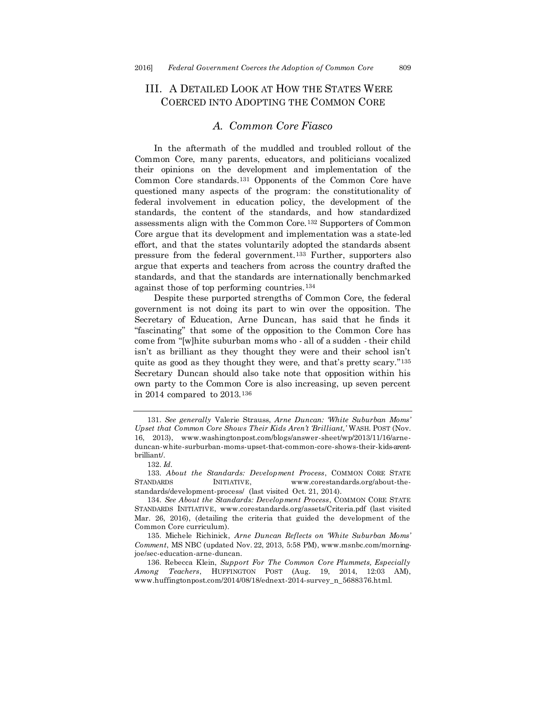# III. A DETAILED LOOK AT HOW THE STATES WERE COERCED INTO ADOPTING THE COMMON CORE

#### *A. Common Core Fiasco*

In the aftermath of the muddled and troubled rollout of the Common Core, many parents, educators, and politicians vocalized their opinions on the development and implementation of the Common Core standards.<sup>131</sup> Opponents of the Common Core have questioned many aspects of the program: the constitutionality of federal involvement in education policy, the development of the standards, the content of the standards, and how standardized assessments align with the Common Core.<sup>132</sup> Supporters of Common Core argue that its development and implementation was a state-led effort, and that the states voluntarily adopted the standards absent pressure from the federal government.<sup>133</sup> Further, supporters also argue that experts and teachers from across the country drafted the standards, and that the standards are internationally benchmarked against those of top performing countries.<sup>134</sup>

Despite these purported strengths of Common Core, the federal government is not doing its part to win over the opposition. The Secretary of Education, Arne Duncan, has said that he finds it "fascinating" that some of the opposition to the Common Core has come from "[w]hite suburban moms who - all of a sudden - their child isn't as brilliant as they thought they were and their school isn't quite as good as they thought they were, and that's pretty scary."<sup>135</sup> Secretary Duncan should also take note that opposition within his own party to the Common Core is also increasing, up seven percent in 2014 compared to 2013.<sup>136</sup>

<sup>131.</sup> *See generally* Valerie Strauss, *Arne Duncan: 'White Suburban Moms' Upset that Common Core Shows Their Kids Aren't 'Brilliant,'* WASH. POST (Nov. 16, 2013), www.washingtonpost.com/blogs/answer-sheet/wp/2013/11/16/arneduncan-white-surburban-moms-upset-that-common-core-shows-their-kids-arentbrilliant/.

<sup>132.</sup> *Id.*

<sup>133.</sup> *About the Standards: Development Process*, COMMON CORE STATE STANDARDS INITIATIVE, www.corestandards.org/about-thestandards/development-process/ (last visited Oct. 21, 2014).

<sup>134.</sup> *See About the Standards: Development Process*, COMMON CORE STATE STANDARDS INITIATIVE, www.corestandards.org/assets/Criteria.pdf (last visited Mar. 26, 2016), (detailing the criteria that guided the development of the Common Core curriculum).

<sup>135.</sup> Michele Richinick, *Arne Duncan Reflects on 'White Suburban Moms' Comment*, MS NBC (updated Nov. 22, 2013, 5:58 PM), www.msnbc.com/morningjoe/sec-education-arne-duncan.

<sup>136.</sup> Rebecca Klein, *Support For The Common Core Plummets, Especially Among Teachers*, HUFFINGTON POST (Aug. 19, 2014, 12:03 AM), www.huffingtonpost.com/2014/08/18/ednext-2014-survey\_n\_5688376.html.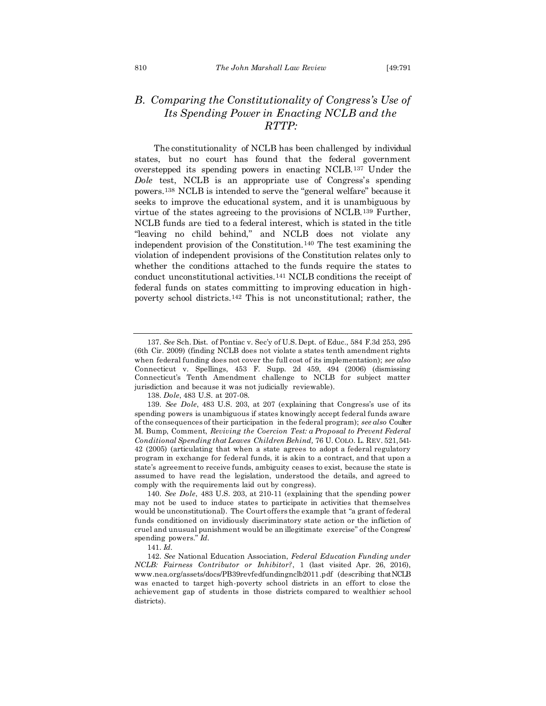# *B. Comparing the Constitutionality of Congress's Use of Its Spending Power in Enacting NCLB and the RTTP:*

The constitutionality of NCLB has been challenged by individual states, but no court has found that the federal government overstepped its spending powers in enacting NCLB.<sup>137</sup> Under the *Dole* test, NCLB is an appropriate use of Congress's spending powers.<sup>138</sup> NCLB is intended to serve the "general welfare" because it seeks to improve the educational system, and it is unambiguous by virtue of the states agreeing to the provisions of NCLB.<sup>139</sup> Further, NCLB funds are tied to a federal interest, which is stated in the title "leaving no child behind," and NCLB does not violate any independent provision of the Constitution.<sup>140</sup> The test examining the violation of independent provisions of the Constitution relates only to whether the conditions attached to the funds require the states to conduct unconstitutional activities.<sup>141</sup> NCLB conditions the receipt of federal funds on states committing to improving education in highpoverty school districts.<sup>142</sup> This is not unconstitutional; rather, the

138. *Dole*, 483 U.S. at 207-08.

<sup>137.</sup> *See* Sch. Dist. of Pontiac v. Sec'y of U.S. Dept. of Educ., 584 F.3d 253, 295 (6th Cir. 2009) (finding NCLB does not violate a states tenth amendment rights when federal funding does not cover the full cost of its implementation); *see also* Connecticut v. Spellings, 453 F. Supp. 2d 459, 494 (2006) (dismissing Connecticut's Tenth Amendment challenge to NCLB for subject matter jurisdiction and because it was not judicially reviewable).

<sup>139.</sup> *See Dole*, 483 U.S. 203, at 207 (explaining that Congress's use of its spending powers is unambiguous if states knowingly accept federal funds aware of the consequences of their participation in the federal program); *see also* Coulter M. Bump, Comment, *Reviving the Coercion Test: a Proposal to Prevent Federal Conditional Spending that Leaves Children Behind,* 76 U. COLO. L. REV. 521, 541- 42 (2005) (articulating that when a state agrees to adopt a federal regulatory program in exchange for federal funds, it is akin to a contract, and that upon a state's agreement to receive funds, ambiguity ceases to exist, because the state is assumed to have read the legislation, understood the details, and agreed to comply with the requirements laid out by congress).

<sup>140.</sup> *See Dole*, 483 U.S. 203, at 210-11 (explaining that the spending power may not be used to induce states to participate in activities that themselves would be unconstitutional). The Court offers the example that "a grant of federal funds conditioned on invidiously discriminatory state action or the infliction of cruel and unusual punishment would be an illegitimate exercise" of the Congress' spending powers." *Id.*

<sup>141.</sup> *Id.*

<sup>142.</sup> *See* National Education Association, *Federal Education Funding under NCLB: Fairness Contributor or Inhibitor?*, 1 (last visited Apr. 26, 2016), www.nea.org/assets/docs/PB39revfedfundingnclb2011.pdf (describing that NCLB was enacted to target high-poverty school districts in an effort to close the achievement gap of students in those districts compared to wealthier school districts).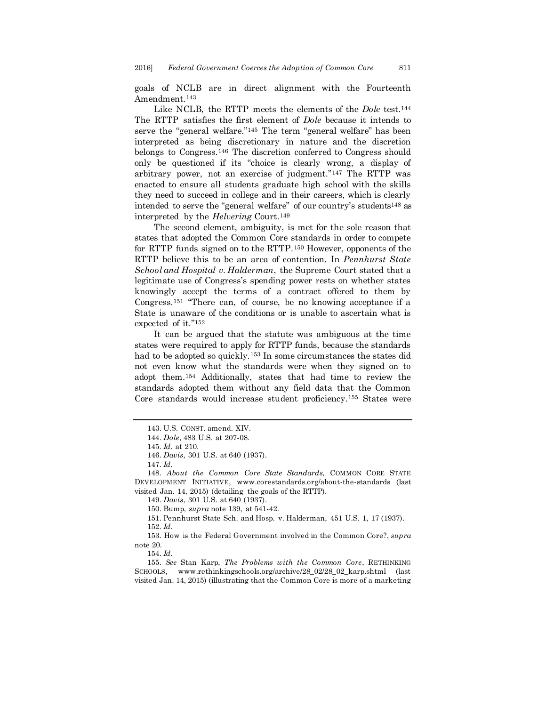goals of NCLB are in direct alignment with the Fourteenth Amendment.<sup>143</sup>

Like NCLB, the RTTP meets the elements of the *Dole* test.<sup>144</sup> The RTTP satisfies the first element of *Dole* because it intends to serve the "general welfare."<sup>145</sup> The term "general welfare" has been interpreted as being discretionary in nature and the discretion belongs to Congress.<sup>146</sup> The discretion conferred to Congress should only be questioned if its "choice is clearly wrong, a display of arbitrary power, not an exercise of judgment."<sup>147</sup> The RTTP was enacted to ensure all students graduate high school with the skills they need to succeed in college and in their careers, which is clearly intended to serve the "general welfare" of our country's students<sup>148</sup> as interpreted by the *Helvering* Court.<sup>149</sup>

The second element, ambiguity, is met for the sole reason that states that adopted the Common Core standards in order to compete for RTTP funds signed on to the RTTP.<sup>150</sup> However, opponents of the RTTP believe this to be an area of contention. In *Pennhurst State School and Hospital v. Halderman*, the Supreme Court stated that a legitimate use of Congress's spending power rests on whether states knowingly accept the terms of a contract offered to them by Congress.<sup>151</sup> "There can, of course, be no knowing acceptance if a State is unaware of the conditions or is unable to ascertain what is expected of it."<sup>152</sup>

It can be argued that the statute was ambiguous at the time states were required to apply for RTTP funds, because the standards had to be adopted so quickly.<sup>153</sup> In some circumstances the states did not even know what the standards were when they signed on to adopt them.<sup>154</sup> Additionally, states that had time to review the standards adopted them without any field data that the Common Core standards would increase student proficiency.<sup>155</sup> States were

149. *Davis*, 301 U.S. at 640 (1937).

150. Bump, *supra* note 139, at 541-42.

151. Pennhurst State Sch. and Hosp. v. Halderman, 451 U.S. 1, 17 (1937). 152. *Id.*

153. How is the Federal Government involved in the Common Core?, *supra*  note 20.

155. *See* Stan Karp, *The Problems with the Common Core*, RETHINKING SCHOOLS, www.rethinkingschools.org/archive/28\_02/28\_02\_karp.shtml (last visited Jan. 14, 2015) (illustrating that the Common Core is more of a marketing

<sup>143.</sup> U.S. CONST. amend. XIV.

<sup>144.</sup> *Dole*, 483 U.S. at 207-08.

<sup>145.</sup> *Id.* at 210.

<sup>146.</sup> *Davis*, 301 U.S. at 640 (1937).

<sup>147.</sup> *Id.*

<sup>148.</sup> *About the Common Core State Standards,* COMMON CORE STATE DEVELOPMENT INITIATIVE, www.corestandards.org/about-the-standards (last visited Jan. 14, 2015) (detailing the goals of the RTTP).

<sup>154.</sup> *Id.*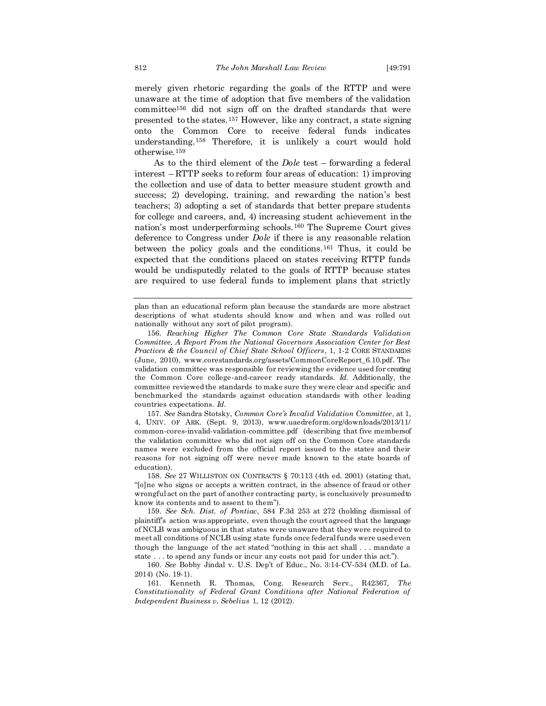merely given rhetoric regarding the goals of the RTTP and were unaware at the time of adoption that five members of the validation committee<sup>156</sup> did not sign off on the drafted standards that were presented to the states.<sup>157</sup> However, like any contract, a state signing onto the Common Core to receive federal funds indicates understanding.<sup>158</sup> Therefore, it is unlikely a court would hold otherwise.<sup>159</sup>

As to the third element of the *Dole* test – forwarding a federal interest – RTTP seeks to reform four areas of education: 1) improving the collection and use of data to better measure student growth and success; 2) developing, training, and rewarding the nation's best teachers; 3) adopting a set of standards that better prepare students for college and careers, and, 4) increasing student achievement in the nation's most underperforming schools.<sup>160</sup> The Supreme Court gives deference to Congress under *Dole* if there is any reasonable relation between the policy goals and the conditions.<sup>161</sup> Thus, it could be expected that the conditions placed on states receiving RTTP funds would be undisputedly related to the goals of RTTP because states are required to use federal funds to implement plans that strictly

157. *See* Sandra Stotsky, *Common Core's Invalid Validation Committee*, at 1, 4, UNIV. OF ARK. (Sept. 9, 2013), www.uaedreform.org/downloads/2013/11/ common-cores-invalid-validation-committee.pdf (describing that five members of the validation committee who did not sign off on the Common Core standards names were excluded from the official report issued to the states and their reasons for not signing off were never made known to the state boards of education).

158. *See* 27 WILLISTON ON CONTRACTS § 70:113 (4th ed. 2001) (stating that, "[o]ne who signs or accepts a written contract, in the absence of fraud or other wrongful act on the part of another contracting party, is conclusively presumed to know its contents and to assent to them").

159. *See Sch. Dist. of Pontiac*, 584 F.3d 253 at 272 (holding dismissal of plaintiff's action was appropriate, even though the court agreed that the language of NCLB was ambiguous in that states were unaware that they were required to meet all conditions of NCLB using state funds once federal funds were used even though the language of the act stated "nothing in this act shall . . . mandate a state . . . to spend any funds or incur any costs not paid for under this act.").

plan than an educational reform plan because the standards are more abstract descriptions of what students should know and when and was rolled out nationally without any sort of pilot program).

<sup>156.</sup> *Reaching Higher The Common Core State Standards Validation Committee, A Report From the National Governors Association Center for Best Practices & the Council of Chief State School Officers*, 1, 1-2 CORE STANDARDS (June, 2010), www.corestandards.org/assets/CommonCoreReport\_6.10.pdf. The validation committee was responsible for reviewing the evidence used for creating the Common Core college-and-career ready standards. *Id.* Additionally, the committee reviewed the standards to make sure they were clear and specific and benchmarked the standards against education standards with other leading countries expectations. *Id.*

<sup>160.</sup> *See* Bobby Jindal v. U.S. Dep't of Educ., No. 3:14-CV-534 (M.D. of La. 2014) (No. 19-1).

<sup>161.</sup> Kenneth R. Thomas, Cong. Research Serv., R42367, *The Constitutionality of Federal Grant Conditions after National Federation of Independent Business v. Sebelius* 1, 12 (2012).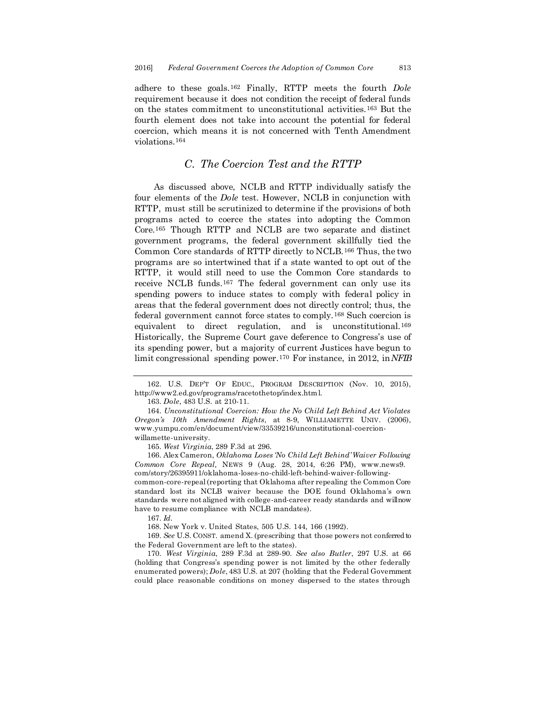adhere to these goals.<sup>162</sup> Finally, RTTP meets the fourth *Dole*  requirement because it does not condition the receipt of federal funds on the states commitment to unconstitutional activities.<sup>163</sup> But the fourth element does not take into account the potential for federal coercion, which means it is not concerned with Tenth Amendment violations.<sup>164</sup>

#### *C. The Coercion Test and the RTTP*

As discussed above, NCLB and RTTP individually satisfy the four elements of the *Dole* test. However, NCLB in conjunction with RTTP, must still be scrutinized to determine if the provisions of both programs acted to coerce the states into adopting the Common Core.<sup>165</sup> Though RTTP and NCLB are two separate and distinct government programs, the federal government skillfully tied the Common Core standards of RTTP directly to NCLB.<sup>166</sup> Thus, the two programs are so intertwined that if a state wanted to opt out of the RTTP, it would still need to use the Common Core standards to receive NCLB funds.<sup>167</sup> The federal government can only use its spending powers to induce states to comply with federal policy in areas that the federal government does not directly control; thus, the federal government cannot force states to comply.<sup>168</sup> Such coercion is equivalent to direct regulation, and is unconstitutional.<sup>169</sup> Historically, the Supreme Court gave deference to Congress's use of its spending power, but a majority of current Justices have begun to limit congressional spending power.<sup>170</sup> For instance, in 2012, in *NFIB* 

163. *Dole*, 483 U.S. at 210-11.

164. *Unconstitutional Coercion: How the No Child Left Behind Act Violates Oregon's 10th Amendment Rights*, at 8-9, WILLIAMETTE UNIV. (2006), www.yumpu.com/en/document/view/33539216/unconstitutional-coercionwillamette-university.

165. *West Virginia*, 289 F.3d at 296.

166. Alex Cameron, *Oklahoma Loses 'No Child Left Behind' Waiver Following Common Core Repeal,* NEWS 9 (Aug. 28, 2014, 6:26 PM), www.news9. com/story/26395911/oklahoma-loses-no-child-left-behind-waiver-followingcommon-core-repeal (reporting that Oklahoma after repealing the Common Core

standard lost its NCLB waiver because the DOE found Oklahoma's own standards were not aligned with college-and-career ready standards and will now have to resume compliance with NCLB mandates).

167. *Id.*

168. New York v. United States, 505 U.S. 144, 166 (1992).

169. *See* U.S. CONST. amend X. (prescribing that those powers not conferred to the Federal Government are left to the states).

170. *West Virginia*, 289 F.3d at 289-90. *See also Butler*, 297 U.S. at 66 (holding that Congress's spending power is not limited by the other federally enumerated powers); *Dole*, 483 U.S. at 207 (holding that the Federal Government could place reasonable conditions on money dispersed to the states through

<sup>162.</sup> U.S. DEP'T OF EDUC., PROGRAM DESCRIPTION (Nov. 10, 2015), http://www2.ed.gov/programs/racetothetop/index.html.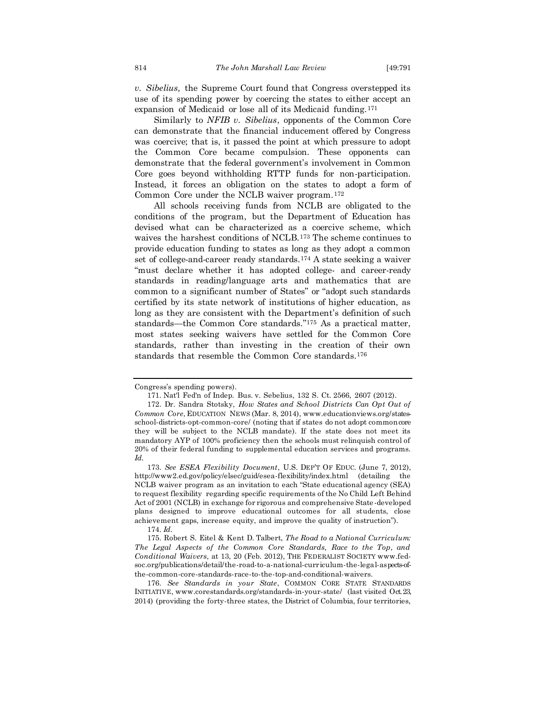*v. Sibelius,* the Supreme Court found that Congress overstepped its use of its spending power by coercing the states to either accept an expansion of Medicaid or lose all of its Medicaid funding.<sup>171</sup>

Similarly to *NFIB v. Sibelius*, opponents of the Common Core can demonstrate that the financial inducement offered by Congress was coercive; that is, it passed the point at which pressure to adopt the Common Core became compulsion. These opponents can demonstrate that the federal government's involvement in Common Core goes beyond withholding RTTP funds for non-participation. Instead, it forces an obligation on the states to adopt a form of Common Core under the NCLB waiver program.<sup>172</sup>

All schools receiving funds from NCLB are obligated to the conditions of the program, but the Department of Education has devised what can be characterized as a coercive scheme, which waives the harshest conditions of NCLB.<sup>173</sup> The scheme continues to provide education funding to states as long as they adopt a common set of college-and-career ready standards.<sup>174</sup> A state seeking a waiver "must declare whether it has adopted college- and career-ready standards in reading/language arts and mathematics that are common to a significant number of States" or "adopt such standards certified by its state network of institutions of higher education, as long as they are consistent with the Department's definition of such standards—the Common Core standards."<sup>175</sup> As a practical matter, most states seeking waivers have settled for the Common Core standards, rather than investing in the creation of their own standards that resemble the Common Core standards.<sup>176</sup>

Congress's spending powers).

<sup>171.</sup> Nat'l Fed'n of Indep. Bus. v. Sebelius, 132 S. Ct. 2566, 2607 (2012).

<sup>172.</sup> Dr. Sandra Stotsky, *How States and School Districts Can Opt Out of Common Core*, EDUCATION NEWS (Mar. 8, 2014), www.educationviews.org/statesschool-districts-opt-common-core/ (noting that if states do not adopt common core they will be subject to the NCLB mandate). If the state does not meet its mandatory AYP of 100% proficiency then the schools must relinquish control of 20% of their federal funding to supplemental education services and programs. *Id.*

<sup>173.</sup> *See ESEA Flexibility Document*, U.S. DEP'T OF EDUC. (June 7, 2012), http://www2.ed.gov/policy/elsec/guid/esea-flexibility/index.html (detailing the NCLB waiver program as an invitation to each "State educational agency (SEA) to request flexibility regarding specific requirements of the No Child Left Behind Act of 2001 (NCLB) in exchange for rigorous and comprehensive State -developed plans designed to improve educational outcomes for all students, close achievement gaps, increase equity, and improve the quality of instruction").

<sup>174.</sup> *Id.*

<sup>175.</sup> Robert S. Eitel & Kent D. Talbert, *The Road to a National Curriculum: The Legal Aspects of the Common Core Standards, Race to the Top, and Conditional Waivers*, at 13, 20 (Feb. 2012), THE FEDERALIST SOCIETY www.fedsoc.org/publications/detail/the-road-to-a-national-curriculum-the-legal-aspects-ofthe-common-core-standards-race-to-the-top-and-conditional-waivers.

<sup>176.</sup> *See Standards in your State*, COMMON CORE STATE STANDARDS INITIATIVE, www.corestandards.org/standards-in-your-state/ (last visited Oct. 23, 2014) (providing the forty-three states, the District of Columbia, four territories,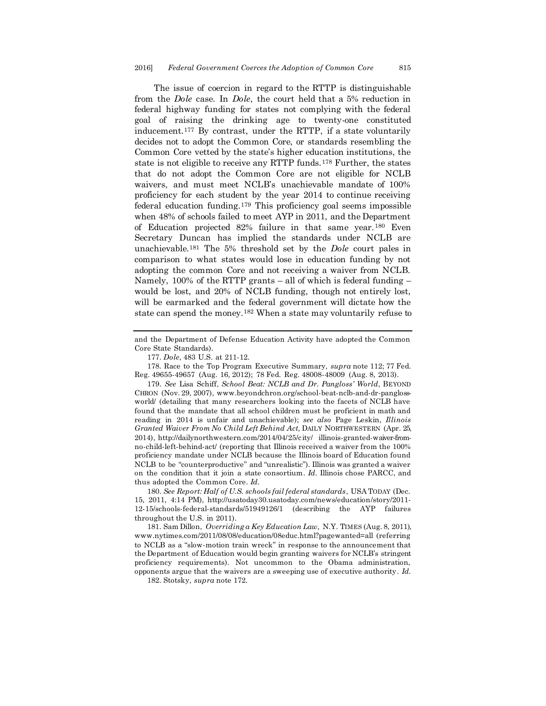The issue of coercion in regard to the RTTP is distinguishable from the *Dole* case. In *Dole*, the court held that a 5% reduction in federal highway funding for states not complying with the federal goal of raising the drinking age to twenty-one constituted inducement.<sup>177</sup> By contrast, under the RTTP, if a state voluntarily decides not to adopt the Common Core, or standards resembling the Common Core vetted by the state's higher education institutions, the state is not eligible to receive any RTTP funds.<sup>178</sup> Further, the states that do not adopt the Common Core are not eligible for NCLB waivers, and must meet NCLB's unachievable mandate of 100% proficiency for each student by the year 2014 to continue receiving federal education funding.<sup>179</sup> This proficiency goal seems impossible when 48% of schools failed to meet AYP in 2011, and the Department of Education projected 82% failure in that same year.<sup>180</sup> Even Secretary Duncan has implied the standards under NCLB are unachievable.<sup>181</sup> The 5% threshold set by the *Dole* court pales in comparison to what states would lose in education funding by not adopting the common Core and not receiving a waiver from NCLB. Namely,  $100\%$  of the RTTP grants – all of which is federal funding – would be lost, and 20% of NCLB funding, though not entirely lost, will be earmarked and the federal government will dictate how the state can spend the money.<sup>182</sup> When a state may voluntarily refuse to

178. Race to the Top Program Executive Summary, *supra* note 112; 77 Fed. Reg. 49655-49657 (Aug. 16, 2012); 78 Fed. Reg. 48008-48009 (Aug. 8, 2013).

180. *See Report: Half of U.S. schools fail federal standards*, USA TODAY (Dec. 15, 2011, 4:14 PM), http://usatoday30.usatoday.com/news/education/story/2011- 12-15/schools-federal-standards/51949126/1 (describing the AYP failures throughout the U.S. in 2011).

181. Sam Dillon, *Overriding a Key Education Law,* N.Y. TIMES (Aug. 8, 2011), www.nytimes.com/2011/08/08/education/08educ.html?pagewanted=all (referring to NCLB as a "slow-motion train wreck" in response to the announcement that the Department of Education would begin granting waivers for NCLB's stringent proficiency requirements). Not uncommon to the Obama administration, opponents argue that the waivers are a sweeping use of executive authority. *Id.*

182. Stotsky, *supra* note 172.

and the Department of Defense Education Activity have adopted the Common Core State Standards).

<sup>177.</sup> *Dole*, 483 U.S. at 211-12.

<sup>179.</sup> *See* Lisa Schiff, *School Beat: NCLB and Dr. Pangloss' World*, BEYOND CHRON (Nov. 29, 2007), www.beyondchron.org/school-beat-nclb-and-dr-panglossworld/ (detailing that many researchers looking into the facets of NCLB have found that the mandate that all school children must be proficient in math and reading in 2014 is unfair and unachievable); *see also* Page Leskin, *Illinois Granted Waiver From No Child Left Behind Act,* DAILY NORTHWESTERN (Apr. 25, 2014), http://dailynorthwestern.com/2014/04/25/city/ illinois-granted-waiver-fromno-child-left-behind-act/ (reporting that Illinois received a waiver from the 100% proficiency mandate under NCLB because the Illinois board of Education found NCLB to be "counterproductive" and "unrealistic"). Illinois was granted a waiver on the condition that it join a state consortium. *Id.* Illinois chose PARCC, and thus adopted the Common Core. *Id.*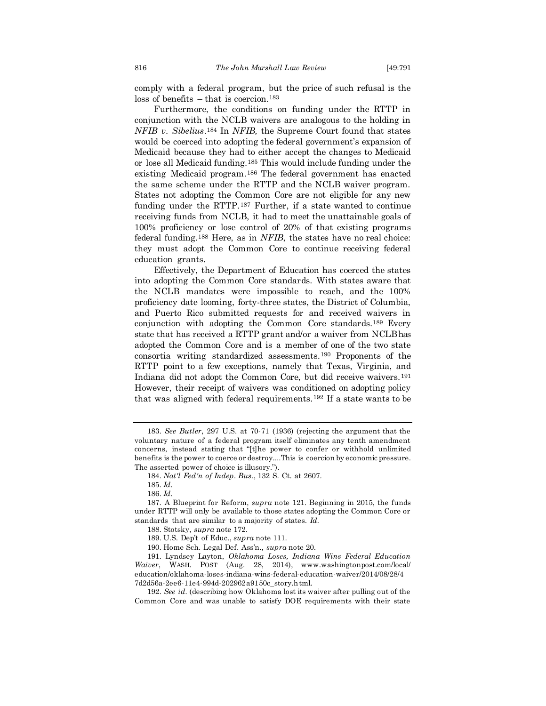comply with a federal program, but the price of such refusal is the loss of benefits – that is coercion.<sup>183</sup>

Furthermore, the conditions on funding under the RTTP in conjunction with the NCLB waivers are analogous to the holding in *NFIB v. Sibelius*. <sup>184</sup> In *NFIB,* the Supreme Court found that states would be coerced into adopting the federal government's expansion of Medicaid because they had to either accept the changes to Medicaid or lose all Medicaid funding.<sup>185</sup> This would include funding under the existing Medicaid program.<sup>186</sup> The federal government has enacted the same scheme under the RTTP and the NCLB waiver program. States not adopting the Common Core are not eligible for any new funding under the RTTP.<sup>187</sup> Further, if a state wanted to continue receiving funds from NCLB, it had to meet the unattainable goals of 100% proficiency or lose control of 20% of that existing programs federal funding.<sup>188</sup> Here, as in *NFIB*, the states have no real choice: they must adopt the Common Core to continue receiving federal education grants.

Effectively, the Department of Education has coerced the states into adopting the Common Core standards. With states aware that the NCLB mandates were impossible to reach, and the 100% proficiency date looming, forty-three states, the District of Columbia, and Puerto Rico submitted requests for and received waivers in conjunction with adopting the Common Core standards.<sup>189</sup> Every state that has received a RTTP grant and/or a waiver from NCLB has adopted the Common Core and is a member of one of the two state consortia writing standardized assessments.<sup>190</sup> Proponents of the RTTP point to a few exceptions, namely that Texas, Virginia, and Indiana did not adopt the Common Core, but did receive waivers.<sup>191</sup> However, their receipt of waivers was conditioned on adopting policy that was aligned with federal requirements.<sup>192</sup> If a state wants to be

<sup>183.</sup> *See Butler*, 297 U.S. at 70-71 (1936) (rejecting the argument that the voluntary nature of a federal program itself eliminates any tenth amendment concerns, instead stating that "[t]he power to confer or withhold unlimited benefits is the power to coerce or destroy....This is coercion by economic pressure. The asserted power of choice is illusory.").

<sup>184.</sup> *Nat'l Fed'n of Indep. Bus.*, 132 S. Ct. at 2607.

<sup>185.</sup> *Id.*

<sup>186.</sup> *Id.*

<sup>187.</sup> A Blueprint for Reform, *supra* note 121. Beginning in 2015, the funds under RTTP will only be available to those states adopting the Common Core or standards that are similar to a majority of states. *Id.*

<sup>188.</sup> Stotsky, *supra* note 172.

<sup>189.</sup> U.S. Dep't of Educ., *supra* note 111.

<sup>190.</sup> Home Sch. Legal Def. Ass'n*., supra* note 20.

<sup>191.</sup> Lyndsey Layton, *Oklahoma Loses, Indiana Wins Federal Education Waiver*, WASH. POST (Aug. 28, 2014), www.washingtonpost.com/local/ education/oklahoma-loses-indiana-wins-federal-education-waiver/2014/08/28/4 7d2d56a-2ee6-11e4-994d-202962a9150c\_story.html.

<sup>192.</sup> *See id.* (describing how Oklahoma lost its waiver after pulling out of the Common Core and was unable to satisfy DOE requirements with their state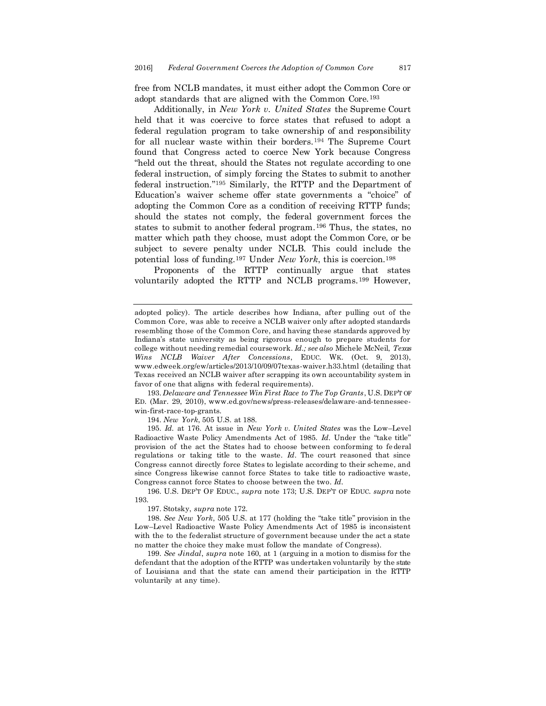free from NCLB mandates, it must either adopt the Common Core or adopt standards that are aligned with the Common Core.<sup>193</sup>

Additionally, in *New York v. United States* the Supreme Court held that it was coercive to force states that refused to adopt a federal regulation program to take ownership of and responsibility for all nuclear waste within their borders.<sup>194</sup> The Supreme Court found that Congress acted to coerce New York because Congress "held out the threat, should the States not regulate according to one federal instruction, of simply forcing the States to submit to another federal instruction."<sup>195</sup> Similarly, the RTTP and the Department of Education's waiver scheme offer state governments a "choice" of adopting the Common Core as a condition of receiving RTTP funds; should the states not comply, the federal government forces the states to submit to another federal program.<sup>196</sup> Thus, the states, no matter which path they choose, must adopt the Common Core, or be subject to severe penalty under NCLB. This could include the potential loss of funding.<sup>197</sup> Under *New York*, this is coercion.<sup>198</sup>

Proponents of the RTTP continually argue that states voluntarily adopted the RTTP and NCLB programs.<sup>199</sup> However,

193. *Delaware and Tennessee Win First Race to The Top Grants*, U.S. DEP'T OF ED. (Mar. 29, 2010), www.ed.gov/news/press-releases/delaware-and-tennesseewin-first-race-top-grants.

194. *New York*, 505 U.S. at 188.

195. *Id.* at 176. At issue in *New York v. United States* was the Low–Level Radioactive Waste Policy Amendments Act of 1985. *Id.* Under the "take title" provision of the act the States had to choose between conforming to federal regulations or taking title to the waste. *Id*. The court reasoned that since Congress cannot directly force States to legislate according to their scheme, and since Congress likewise cannot force States to take title to radioactive waste, Congress cannot force States to choose between the two. *Id.*

196. U.S. DEP'T OF EDUC., *supra* note 173; U.S. DEP'T OF EDUC. *supra* note 193.

197. Stotsky, *supra* note 172.

198. *See New York*, 505 U.S. at 177 (holding the "take title" provision in the Low–Level Radioactive Waste Policy Amendments Act of 1985 is inconsistent with the to the federalist structure of government because under the act a state no matter the choice they make must follow the mandate of Congress).

199. *See Jindal*, *supra* note 160, at 1 (arguing in a motion to dismiss for the defendant that the adoption of the RTTP was undertaken voluntarily by the state of Louisiana and that the state can amend their participation in the RTTP voluntarily at any time).

adopted policy). The article describes how Indiana, after pulling out of the Common Core, was able to receive a NCLB waiver only after adopted standards resembling those of the Common Core, and having these standards approved by Indiana's state university as being rigorous enough to prepare students for college without needing remedial coursework. *Id.; see also* Michele McNeil, *Texas Wins NCLB Waiver After Concessions*, EDUC. WK. (Oct. 9, 2013), www.edweek.org/ew/articles/2013/10/09/07texas-waiver.h33.html (detailing that Texas received an NCLB waiver after scrapping its own accountability system in favor of one that aligns with federal requirements).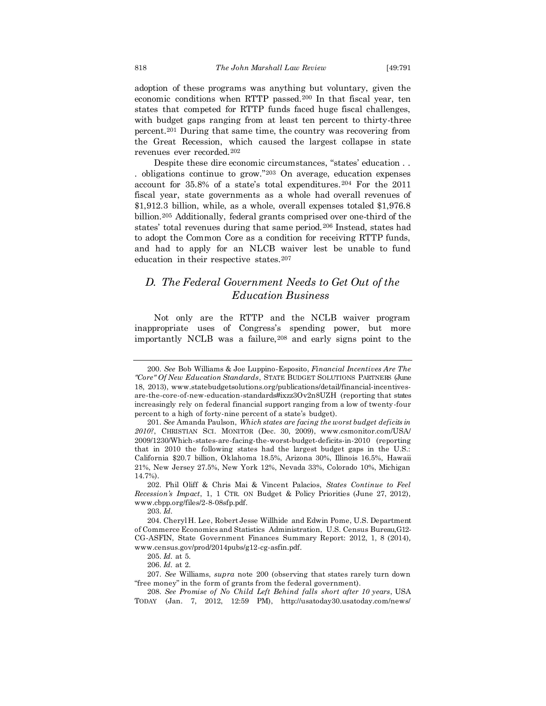adoption of these programs was anything but voluntary, given the economic conditions when RTTP passed. <sup>200</sup> In that fiscal year, ten states that competed for RTTP funds faced huge fiscal challenges, with budget gaps ranging from at least ten percent to thirty-three percent.<sup>201</sup> During that same time, the country was recovering from the Great Recession, which caused the largest collapse in state revenues ever recorded.<sup>202</sup>

Despite these dire economic circumstances, "states' education . . . obligations continue to grow."<sup>203</sup> On average, education expenses account for 35.8% of a state's total expenditures.<sup>204</sup> For the 2011 fiscal year, state governments as a whole had overall revenues of \$1,912.3 billion, while, as a whole, overall expenses totaled \$1,976.8 billion.<sup>205</sup> Additionally, federal grants comprised over one-third of the states' total revenues during that same period.<sup>206</sup> Instead, states had to adopt the Common Core as a condition for receiving RTTP funds, and had to apply for an NLCB waiver lest be unable to fund education in their respective states.<sup>207</sup>

# *D. The Federal Government Needs to Get Out of the Education Business*

Not only are the RTTP and the NCLB waiver program inappropriate uses of Congress's spending power, but more importantly NCLB was a failure,<sup>208</sup> and early signs point to the

203. *Id.*

206. *Id.* at 2.

<sup>200.</sup> *See* Bob Williams & Joe Luppino-Esposito, *Financial Incentives Are The "Core" Of New Education Standards*, STATE BUDGET SOLUTIONS PARTNERS (June 18, 2013), www.statebudgetsolutions.org/publications/detail/financial-incentivesare-the-core-of-new-education-standards#ixzz3Ov2n8UZH (reporting that states increasingly rely on federal financial support ranging from a low of twenty-four percent to a high of forty-nine percent of a state's budget).

<sup>201.</sup> *See* Amanda Paulson, *Which states are facing the worst budget deficits in 2010?*, CHRISTIAN SCI. MONITOR (Dec. 30, 2009), www.csmonitor.com/USA/ 2009/1230/Which-states-are-facing-the-worst-budget-deficits-in-2010 (reporting that in 2010 the following states had the largest budget gaps in the U.S.: California \$20.7 billion, Oklahoma 18.5%, Arizona 30%, Illinois 16.5%, Hawaii 21%, New Jersey 27.5%, New York 12%, Nevada 33%, Colorado 10%, Michigan 14.7%).

<sup>202.</sup> Phil Oliff & Chris Mai & Vincent Palacios, *States Continue to Feel Recession's Impact*, 1, 1 CTR. ON Budget & Policy Priorities (June 27, 2012), www.cbpp.org/files/2-8-08sfp.pdf.

<sup>204.</sup> Cheryl H. Lee, Robert Jesse Willhide and Edwin Pome, U.S. Department of Commerce Economics and Statistics Administration, U.S. Census Bureau, G12- CG-ASFIN, State Government Finances Summary Report: 2012, 1, 8 (2014)*,* www.census.gov/prod/2014pubs/g12-cg-asfin.pdf.

<sup>205.</sup> *Id.* at 5.

<sup>207.</sup> *See* Williams, *supra* note 200 (observing that states rarely turn down "free money" in the form of grants from the federal government).

<sup>208.</sup> *See Promise of No Child Left Behind falls short after 10 years*, USA TODAY (Jan. 7, 2012, 12:59 PM), http://usatoday30.usatoday.com/news/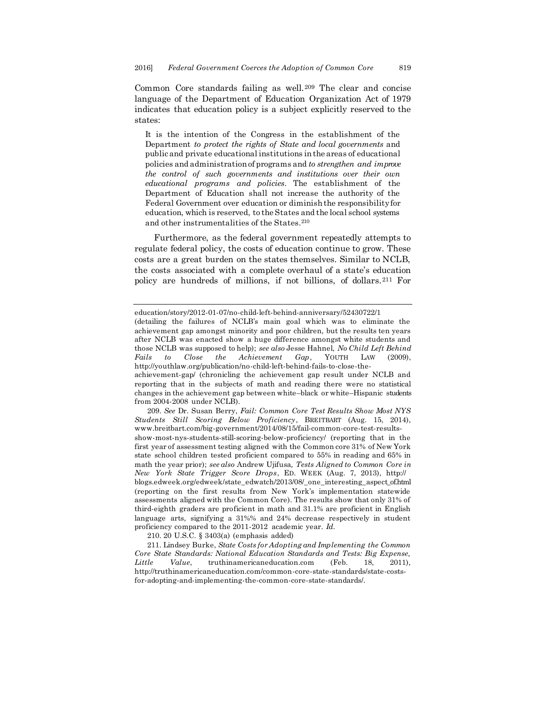Common Core standards failing as well.<sup>209</sup> The clear and concise language of the Department of Education Organization Act of 1979 indicates that education policy is a subject explicitly reserved to the states:

It is the intention of the Congress in the establishment of the Department *to protect the rights of State and local governments* and public and private educational institutions in the areas of educational policies and administration of programs and *to strengthen and improve the control of such governments and institutions over their own educational programs and policies*. The establishment of the Department of Education shall not increase the authority of the Federal Government over education or diminish the responsibility for education, which is reserved, to the States and the local school systems and other instrumentalities of the States.<sup>210</sup>

Furthermore, as the federal government repeatedly attempts to regulate federal policy, the costs of education continue to grow. These costs are a great burden on the states themselves. Similar to NCLB, the costs associated with a complete overhaul of a state's education policy are hundreds of millions, if not billions, of dollars.<sup>211</sup> For

209. *See* Dr. Susan Berry, *Fail: Common Core Test Results Show Most NYS Students Still Scoring Below Proficiency*, BREITBART (Aug. 15, 2014), www.breitbart.com/big-government/2014/08/15/fail-common-core-test-resultsshow-most-nys-students-still-scoring-below-proficiency/ (reporting that in the first year of assessment testing aligned with the Common core 31% of New York state school children tested proficient compared to 55% in reading and 65% in math the year prior); *see also* Andrew Ujifusa*, Tests Aligned to Common Core in New York State Trigger Score Drops*, ED. WEEK (Aug. 7, 2013), http:// blogs.edweek.org/edweek/state\_edwatch/2013/08/\_one\_interesting\_aspect\_of.html (reporting on the first results from New York's implementation statewide assessments aligned with the Common Core). The results show that only 31% of third-eighth graders are proficient in math and 31.1% are proficient in English language arts, signifying a 31%% and 24% decrease respectively in student proficiency compared to the 2011-2012 academic year. *Id.*

210. 20 U.S.C. § 3403(a) (emphasis added)

211. Lindsey Burke, *State Costs for Adopting and Implementing the Common Core State Standards: National Education Standards and Tests: Big Expense, Little Value*, truthinamericaneducation.com (Feb. 18, 2011), http://truthinamericaneducation.com/common-core-state-standards/state-costsfor-adopting-and-implementing-the-common-core-state-standards/.

education/story/2012-01-07/no-child-left-behind-anniversary/52430722/1

<sup>(</sup>detailing the failures of NCLB's main goal which was to eliminate the achievement gap amongst minority and poor children, but the results ten years after NCLB was enacted show a huge difference amongst white students and those NCLB was supposed to help); *see also* Jesse Hahnel, *No Child Left Behind Fails to Close the Achievement Gap*, YOUTH LAW (2009), http://youthlaw.org/publication/no-child-left-behind-fails-to-close-the-

achievement-gap/ (chronicling the achievement gap result under NCLB and reporting that in the subjects of math and reading there were no statistical changes in the achievement gap between white–black or white–Hispanic students from 2004-2008 under NCLB).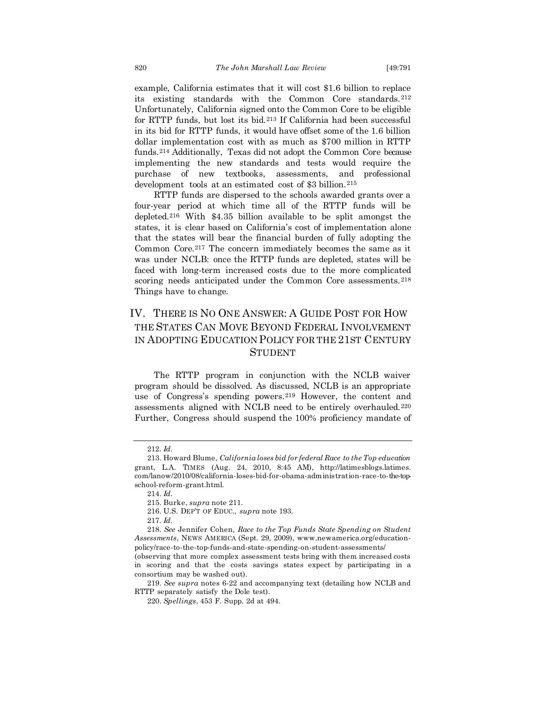example, California estimates that it will cost \$1.6 billion to replace its existing standards with the Common Core standards.<sup>212</sup> Unfortunately, California signed onto the Common Core to be eligible for RTTP funds, but lost its bid.<sup>213</sup> If California had been successful in its bid for RTTP funds, it would have offset some of the 1.6 billion dollar implementation cost with as much as \$700 million in RTTP funds.<sup>214</sup> Additionally, Texas did not adopt the Common Core because implementing the new standards and tests would require the purchase of new textbooks, assessments, and professional development tools at an estimated cost of \$3 billion.<sup>215</sup>

RTTP funds are dispersed to the schools awarded grants over a four-year period at which time all of the RTTP funds will be depleted.<sup>216</sup> With \$4.35 billion available to be split amongst the states, it is clear based on California's cost of implementation alone that the states will bear the financial burden of fully adopting the Common Core.<sup>217</sup> The concern immediately becomes the same as it was under NCLB: once the RTTP funds are depleted, states will be faced with long-term increased costs due to the more complicated scoring needs anticipated under the Common Core assessments.<sup>218</sup> Things have to change.

# IV. THERE IS NO ONE ANSWER: A GUIDE POST FOR HOW THE STATES CAN MOVE BEYOND FEDERAL INVOLVEMENT IN ADOPTING EDUCATION POLICY FOR THE 21ST CENTURY **STUDENT**

The RTTP program in conjunction with the NCLB waiver program should be dissolved. As discussed, NCLB is an appropriate use of Congress's spending powers.<sup>219</sup> However, the content and assessments aligned with NCLB need to be entirely overhauled.<sup>220</sup> Further, Congress should suspend the 100% proficiency mandate of

<sup>212.</sup> *Id.*

<sup>213.</sup> Howard Blume, *California loses bid for federal Race to the Top education*  grant, L.A. TIMES (Aug. 24, 2010, 8:45 AM), http://latimesblogs.latimes. com/lanow/2010/08/california-loses-bid-for-obama-administration-race-to-the-topschool-reform-grant.html.

<sup>214.</sup> *Id.*

<sup>215.</sup> Burke, *supra* note 211.

<sup>216.</sup> U.S. DEP'T OF EDUC., *supra* note 193.

<sup>217.</sup> *Id.*

<sup>218.</sup> *See* Jennifer Cohen*, Race to the Top Funds State Spending on Student Assessments*, NEWS AMERICA (Sept. 29, 2009), www.newamerica.org/educationpolicy/race-to-the-top-funds-and-state-spending-on-student-assessments/

<sup>(</sup>observing that more complex assessment tests bring with them increased costs in scoring and that the costs savings states expect by participating in a consortium may be washed out).

<sup>219.</sup> *See supra* notes 6-22 and accompanying text (detailing how NCLB and RTTP separately satisfy the Dole test).

<sup>220.</sup> *Spellings*, 453 F. Supp. 2d at 494.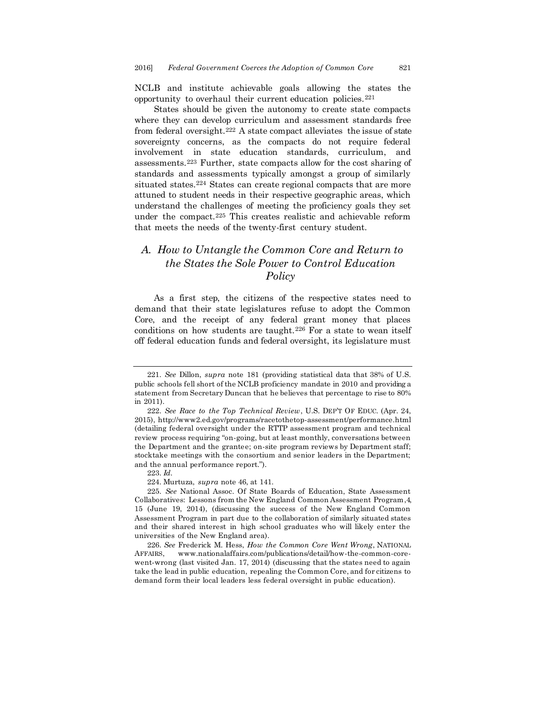NCLB and institute achievable goals allowing the states the opportunity to overhaul their current education policies.<sup>221</sup>

States should be given the autonomy to create state compacts where they can develop curriculum and assessment standards free from federal oversight.<sup>222</sup> A state compact alleviates the issue of state sovereignty concerns, as the compacts do not require federal involvement in state education standards, curriculum, and assessments.<sup>223</sup> Further, state compacts allow for the cost sharing of standards and assessments typically amongst a group of similarly situated states.<sup>224</sup> States can create regional compacts that are more attuned to student needs in their respective geographic areas, which understand the challenges of meeting the proficiency goals they set under the compact.<sup>225</sup> This creates realistic and achievable reform that meets the needs of the twenty-first century student.

# *A. How to Untangle the Common Core and Return to the States the Sole Power to Control Education Policy*

As a first step, the citizens of the respective states need to demand that their state legislatures refuse to adopt the Common Core, and the receipt of any federal grant money that places conditions on how students are taught.<sup>226</sup> For a state to wean itself off federal education funds and federal oversight, its legislature must

224. Murtuza, *supra* note 46, at 141.

<sup>221.</sup> *See* Dillon, *supra* note 181 (providing statistical data that 38% of U.S. public schools fell short of the NCLB proficiency mandate in 2010 and providing a statement from Secretary Duncan that he believes that percentage to rise to 80% in 2011).

<sup>222.</sup> *See Race to the Top Technical Review*, U.S. DEP'T OF EDUC. (Apr. 24, 2015), http://www2.ed.gov/programs/racetothetop-assessment/performance.html (detailing federal oversight under the RTTP assessment program and technical review process requiring "on-going, but at least monthly, conversations between the Department and the grantee; on-site program reviews by Department staff; stocktake meetings with the consortium and senior leaders in the Department; and the annual performance report.").

<sup>223.</sup> *Id.*

<sup>225.</sup> *See* National Assoc. Of State Boards of Education, State Assessment Collaboratives: Lessons from the New England Common Assessment Program,4, 15 (June 19, 2014), (discussing the success of the New England Common Assessment Program in part due to the collaboration of similarly situated states and their shared interest in high school graduates who will likely enter the universities of the New England area).

<sup>226.</sup> *See* Frederick M. Hess, *How the Common Core Went Wrong*, NATIONAL AFFAIRS, www.nationalaffairs.com/publications/detail/how-the-common-corewent-wrong (last visited Jan. 17, 2014) (discussing that the states need to again take the lead in public education, repealing the Common Core, and for citizens to demand form their local leaders less federal oversight in public education).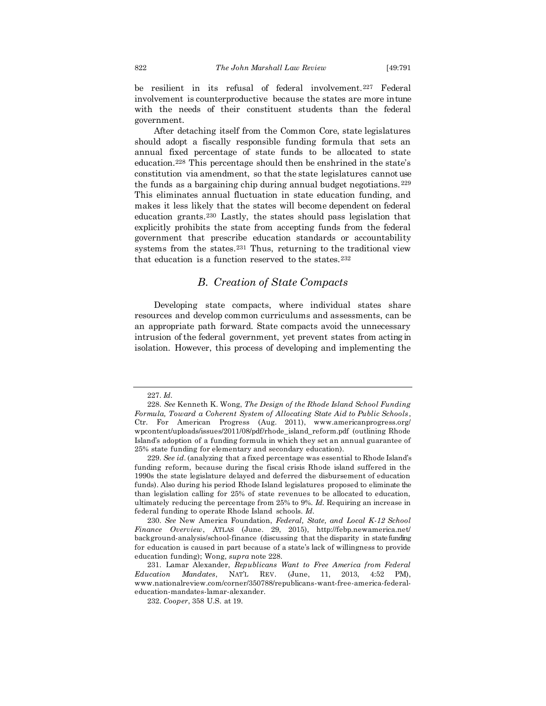be resilient in its refusal of federal involvement.<sup>227</sup> Federal involvement is counterproductive because the states are more in tune with the needs of their constituent students than the federal government.

After detaching itself from the Common Core, state legislatures should adopt a fiscally responsible funding formula that sets an annual fixed percentage of state funds to be allocated to state education.<sup>228</sup> This percentage should then be enshrined in the state's constitution via amendment, so that the state legislatures cannot use the funds as a bargaining chip during annual budget negotiations. <sup>229</sup> This eliminates annual fluctuation in state education funding, and makes it less likely that the states will become dependent on federal education grants.<sup>230</sup> Lastly, the states should pass legislation that explicitly prohibits the state from accepting funds from the federal government that prescribe education standards or accountability systems from the states.<sup>231</sup> Thus, returning to the traditional view that education is a function reserved to the states.<sup>232</sup>

#### *B. Creation of State Compacts*

Developing state compacts, where individual states share resources and develop common curriculums and assessments, can be an appropriate path forward. State compacts avoid the unnecessary intrusion of the federal government, yet prevent states from acting in isolation. However, this process of developing and implementing the

<sup>227.</sup> *Id.*

<sup>228.</sup> *See* Kenneth K. Wong, *The Design of the Rhode Island School Funding Formula, Toward a Coherent System of Allocating State Aid to Public Schools* , Ctr. For American Progress (Aug. 2011), www.americanprogress.org/ wpcontent/uploads/issues/2011/08/pdf/rhode\_island\_reform.pdf (outlining Rhode Island's adoption of a funding formula in which they set an annual guarantee of 25% state funding for elementary and secondary education).

<sup>229.</sup> *See id.* (analyzing that a fixed percentage was essential to Rhode Island's funding reform, because during the fiscal crisis Rhode island suffered in the 1990s the state legislature delayed and deferred the disbursement of education funds). Also during his period Rhode Island legislatures proposed to eliminate the than legislation calling for 25% of state revenues to be allocated to education, ultimately reducing the percentage from 25% to 9%. *Id.* Requiring an increase in federal funding to operate Rhode Island schools. *Id.*

<sup>230.</sup> *See* New America Foundation, *Federal, State, and Local K-12 School Finance Overview*, ATLAS (June. 29, 2015), http://febp.newamerica.net/ background-analysis/school-finance (discussing that the disparity in state funding for education is caused in part because of a state's lack of willingness to provide education funding); Wong, *supra* note 228.

<sup>231.</sup> Lamar Alexander, *Republicans Want to Free America from Federal Education Mandates*, NAT'L REV. (June, 11, 2013, 4:52 PM), www.nationalreview.com/corner/350788/republicans-want-free-america-federaleducation-mandates-lamar-alexander.

<sup>232.</sup> *Cooper*, 358 U.S. at 19.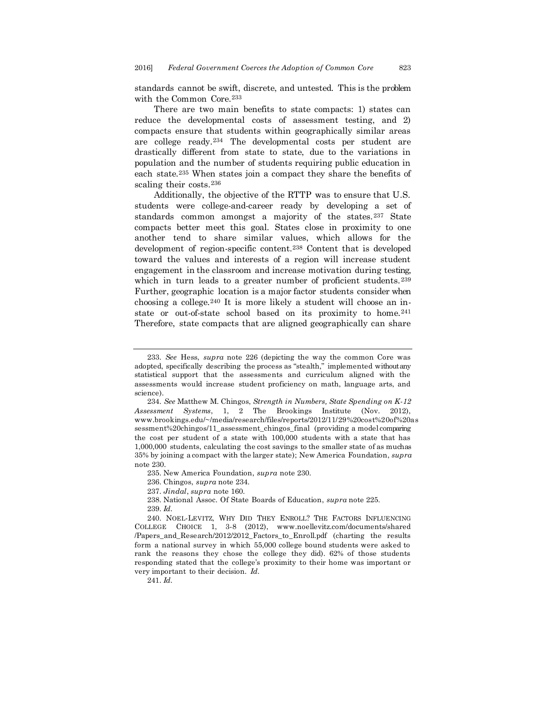standards cannot be swift, discrete, and untested. This is the problem with the Common Core.<sup>233</sup>

There are two main benefits to state compacts: 1) states can reduce the developmental costs of assessment testing, and 2) compacts ensure that students within geographically similar areas are college ready.<sup>234</sup> The developmental costs per student are drastically different from state to state, due to the variations in population and the number of students requiring public education in each state.<sup>235</sup> When states join a compact they share the benefits of scaling their costs.<sup>236</sup>

Additionally, the objective of the RTTP was to ensure that U.S. students were college-and-career ready by developing a set of standards common amongst a majority of the states.<sup>237</sup> State compacts better meet this goal. States close in proximity to one another tend to share similar values, which allows for the development of region-specific content.<sup>238</sup> Content that is developed toward the values and interests of a region will increase student engagement in the classroom and increase motivation during testing, which in turn leads to a greater number of proficient students.<sup>239</sup> Further, geographic location is a major factor students consider when choosing a college.<sup>240</sup> It is more likely a student will choose an instate or out-of-state school based on its proximity to home.<sup>241</sup> Therefore, state compacts that are aligned geographically can share

236. Chingos, *supra* note 234.

237. *Jindal*, *supra* note 160.

238. National Assoc. Of State Boards of Education, *supra* note 225. 239. *Id.*

240. NOEL-LEVITZ, WHY DID THEY ENROLL? THE FACTORS INFLUENCING COLLEGE CHOICE 1, 3-8 (2012), www.noellevitz.com/documents/shared /Papers\_and\_Research/2012/2012\_Factors\_to\_Enroll.pdf (charting the results form a national survey in which 55,000 college bound students were asked to rank the reasons they chose the college they did). 62% of those students responding stated that the college's proximity to their home was important or very important to their decision. *Id.*

241. *Id.*

<sup>233.</sup> *See* Hess, *supra* note 226 (depicting the way the common Core was adopted, specifically describing the process as "stealth," implemented without any statistical support that the assessments and curriculum aligned with the assessments would increase student proficiency on math, language arts, and science).

<sup>234.</sup> *See* Matthew M. Chingos, *Strength in Numbers, State Spending on K-12 Assessment Systems*, 1, 2 The Brookings Institute (Nov. 2012), www.brookings.edu/~/media/research/files/reports/2012/11/29%20cost%20of%20as sessment%20chingos/11\_assessment\_chingos\_final (providing a model comparing the cost per student of a state with 100,000 students with a state that has 1,000,000 students, calculating the cost savings to the smaller state of as much as 35% by joining a compact with the larger state); New America Foundation, *supra* note 230.

<sup>235.</sup> New America Foundation, *supra* note 230.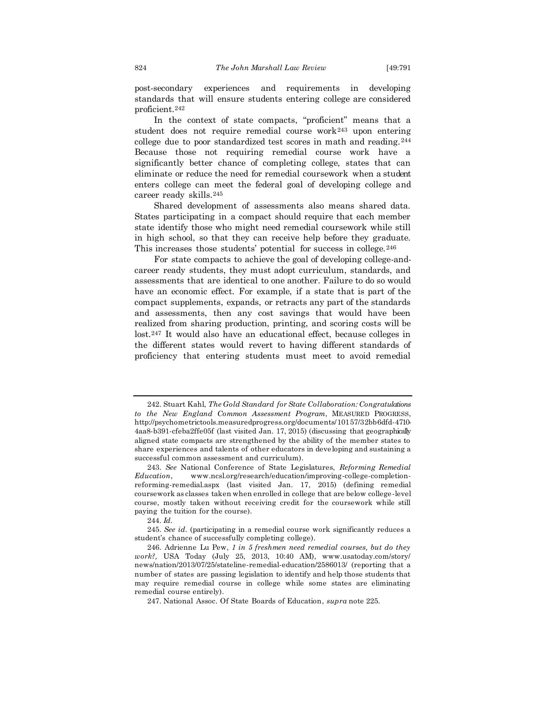post-secondary experiences and requirements in developing standards that will ensure students entering college are considered proficient.<sup>242</sup>

In the context of state compacts, "proficient" means that a student does not require remedial course work<sup>243</sup> upon entering college due to poor standardized test scores in math and reading.<sup>244</sup> Because those not requiring remedial course work have a significantly better chance of completing college, states that can eliminate or reduce the need for remedial coursework when a student enters college can meet the federal goal of developing college and career ready skills.<sup>245</sup>

Shared development of assessments also means shared data. States participating in a compact should require that each member state identify those who might need remedial coursework while still in high school, so that they can receive help before they graduate. This increases those students' potential for success in college.<sup>246</sup>

For state compacts to achieve the goal of developing college-andcareer ready students, they must adopt curriculum, standards, and assessments that are identical to one another. Failure to do so would have an economic effect. For example, if a state that is part of the compact supplements, expands, or retracts any part of the standards and assessments, then any cost savings that would have been realized from sharing production, printing, and scoring costs will be lost.<sup>247</sup> It would also have an educational effect, because colleges in the different states would revert to having different standards of proficiency that entering students must meet to avoid remedial

<sup>242.</sup> Stuart Kahl, *The Gold Standard for State Collaboration: Congratulations to the New England Common Assessment Program*, MEASURED PROGRESS, http://psychometrictools.measuredprogress.org/documents/10157/32bb6dfd-4710- 4aa8-b391-cfeba2ffe05f (last visited Jan. 17, 2015) (discussing that geographically aligned state compacts are strengthened by the ability of the member states to share experiences and talents of other educators in developing and sustaining a successful common assessment and curriculum).

<sup>243.</sup> *See* National Conference of State Legislatures, *Reforming Remedial Education*, www.ncsl.org/research/education/improving-college-completionreforming-remedial.aspx (last visited Jan. 17, 2015) (defining remedial coursework as classes taken when enrolled in college that are below college -level course, mostly taken without receiving credit for the coursework while still paying the tuition for the course).

<sup>244.</sup> *Id.*

<sup>245.</sup> *See id.* (participating in a remedial course work significantly reduces a student's chance of successfully completing college).

<sup>246.</sup> Adrienne Lu Pew, *1 in 5 freshmen need remedial courses, but do they work?,* USA Today (July 25, 2013, 10:40 AM), www.usatoday.com/story/ news/nation/2013/07/25/stateline-remedial-education/2586013/ (reporting that a number of states are passing legislation to identify and help those students that may require remedial course in college while some states are eliminating remedial course entirely).

<sup>247.</sup> National Assoc. Of State Boards of Education, *supra* note 225.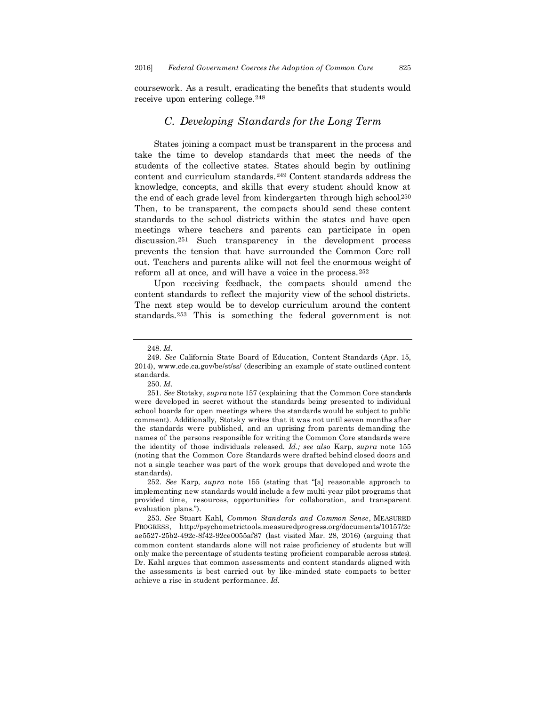coursework. As a result, eradicating the benefits that students would receive upon entering college.<sup>248</sup>

#### *C. Developing Standards for the Long Term*

States joining a compact must be transparent in the process and take the time to develop standards that meet the needs of the students of the collective states. States should begin by outlining content and curriculum standards.<sup>249</sup> Content standards address the knowledge, concepts, and skills that every student should know at the end of each grade level from kindergarten through high school.<sup>250</sup> Then, to be transparent, the compacts should send these content standards to the school districts within the states and have open meetings where teachers and parents can participate in open discussion.<sup>251</sup> Such transparency in the development process prevents the tension that have surrounded the Common Core roll out. Teachers and parents alike will not feel the enormous weight of reform all at once, and will have a voice in the process.<sup>252</sup>

Upon receiving feedback, the compacts should amend the content standards to reflect the majority view of the school districts. The next step would be to develop curriculum around the content standards.<sup>253</sup> This is something the federal government is not

<sup>248.</sup> *Id.*

<sup>249.</sup> *See* California State Board of Education, Content Standards (Apr. 15, 2014), www.cde.ca.gov/be/st/ss/ (describing an example of state outlined content standards.

<sup>250.</sup> *Id.*

<sup>251.</sup> *See* Stotsky, *supra* note 157 (explaining that the Common Core standards were developed in secret without the standards being presented to individual school boards for open meetings where the standards would be subject to public comment). Additionally, Stotsky writes that it was not until seven months after the standards were published, and an uprising from parents demanding the names of the persons responsible for writing the Common Core standards were the identity of those individuals released. *Id.; see also* Karp, *supra* note 155 (noting that the Common Core Standards were drafted behind closed doors and not a single teacher was part of the work groups that developed and wrote the standards).

<sup>252.</sup> *See* Karp, *supra* note 155 (stating that "[a] reasonable approach to implementing new standards would include a few multi-year pilot programs that provided time, resources, opportunities for collaboration, and transparent evaluation plans.").

<sup>253.</sup> *See* Stuart Kahl, *Common Standards and Common Sense*, MEASURED PROGRESS, http://psychometrictools.measuredprogress.org/documents/10157/2c ae5527-25b2-492c-8f42-92ce0055af87 (last visited Mar. 28, 2016) (arguing that common content standards alone will not raise proficiency of students but will only make the percentage of students testing proficient comparable across states). Dr. Kahl argues that common assessments and content standards aligned with the assessments is best carried out by like-minded state compacts to better achieve a rise in student performance. *Id.*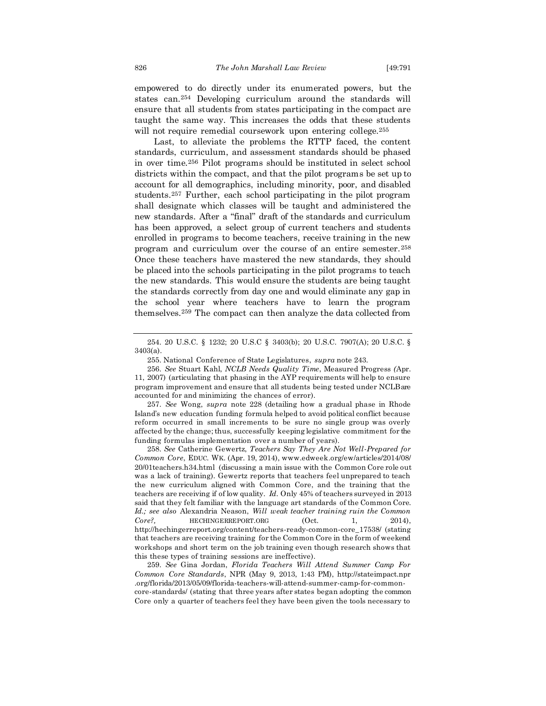will not require remedial coursework upon entering college.<sup>255</sup> Last, to alleviate the problems the RTTP faced, the content standards, curriculum, and assessment standards should be phased in over time.<sup>256</sup> Pilot programs should be instituted in select school districts within the compact, and that the pilot programs be set up to account for all demographics, including minority, poor, and disabled students.<sup>257</sup> Further, each school participating in the pilot program shall designate which classes will be taught and administered the new standards. After a "final" draft of the standards and curriculum has been approved, a select group of current teachers and students enrolled in programs to become teachers, receive training in the new program and curriculum over the course of an entire semester.<sup>258</sup> Once these teachers have mastered the new standards, they should be placed into the schools participating in the pilot programs to teach the new standards. This would ensure the students are being taught the standards correctly from day one and would eliminate any gap in the school year where teachers have to learn the program themselves.<sup>259</sup> The compact can then analyze the data collected from

257. *See* Wong, *supra* note 228 (detailing how a gradual phase in Rhode Island's new education funding formula helped to avoid political conflict because reform occurred in small increments to be sure no single group was overly affected by the change; thus, successfully keeping legislative commitment for the funding formulas implementation over a number of years).

258. *See* Catherine Gewertz, *Teachers Say They Are Not Well-Prepared for Common Core*, EDUC. WK. (Apr. 19, 2014), www.edweek.org/ew/articles/2014/08/ 20/01teachers.h34.html (discussing a main issue with the Common Core role out was a lack of training). Gewertz reports that teachers feel unprepared to teach the new curriculum aligned with Common Core, and the training that the teachers are receiving if of low quality. *Id.* Only 45% of teachers surveyed in 2013 said that they felt familiar with the language art standards of the Common Core. *Id.; see also* Alexandria Neason, *Will weak teacher training ruin the Common Core?,* HECHINGERREPORT.ORG (Oct. 1, 2014), http://hechingerreport.org/content/teachers-ready-common-core\_17538/ (stating that teachers are receiving training for the Common Core in the form of weekend workshops and short term on the job training even though research shows that this these types of training sessions are ineffective).

259. *See* Gina Jordan, *Florida Teachers Will Attend Summer Camp For Common Core Standards*, NPR (May 9, 2013, 1:43 PM), http://stateimpact.npr .org/florida/2013/05/09/florida-teachers-will-attend-summer-camp-for-commoncore-standards/ (stating that three years after states began adopting the common Core only a quarter of teachers feel they have been given the tools necessary to

<sup>254.</sup> 20 U.S.C. § 1232; 20 U.S.C § 3403(b); 20 U.S.C. 7907(A); 20 U.S.C. § 3403(a).

<sup>255.</sup> National Conference of State Legislatures, *supra* note 243.

<sup>256.</sup> *See* Stuart Kahl, *NCLB Needs Quality Time*, Measured Progress *(*Apr. 11, 2007) (articulating that phasing in the AYP requirements will help to ensure program improvement and ensure that all students being tested under NCLB are accounted for and minimizing the chances of error).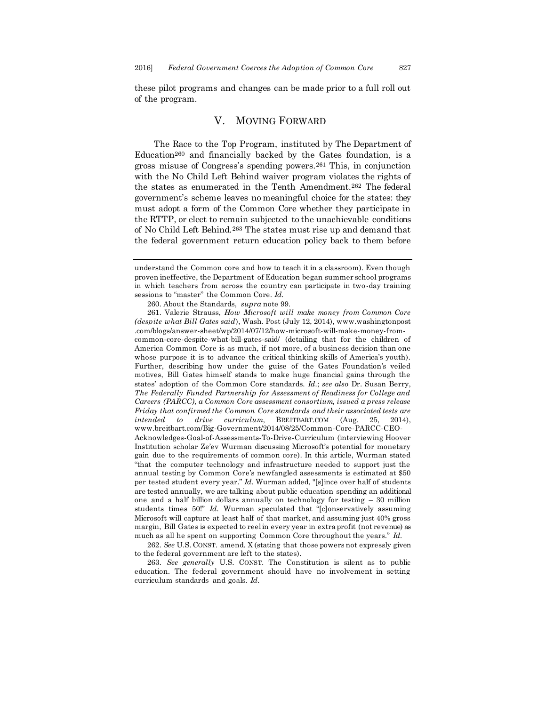these pilot programs and changes can be made prior to a full roll out of the program.

#### V. MOVING FORWARD

The Race to the Top Program, instituted by The Department of Education<sup>260</sup> and financially backed by the Gates foundation, is a gross misuse of Congress's spending powers.<sup>261</sup> This, in conjunction with the No Child Left Behind waiver program violates the rights of the states as enumerated in the Tenth Amendment.<sup>262</sup> The federal government's scheme leaves no meaningful choice for the states: they must adopt a form of the Common Core whether they participate in the RTTP, or elect to remain subjected to the unachievable conditions of No Child Left Behind.<sup>263</sup> The states must rise up and demand that the federal government return education policy back to them before

262. *See* U.S. CONST. amend. X (stating that those powers not expressly given to the federal government are left to the states).

263. *See generally* U.S. CONST. The Constitution is silent as to public education. The federal government should have no involvement in setting curriculum standards and goals. *Id.*

understand the Common core and how to teach it in a classroom). Even though proven ineffective, the Department of Education began summer school programs in which teachers from across the country can participate in two-day training sessions to "master" the Common Core. *Id.*

<sup>260.</sup> About the Standards, *supra* note 99.

<sup>261.</sup> Valerie Strauss, *How Microsoft will make money from Common Core (despite what Bill Gates said*), Wash. Post (July 12, 2014), www.washingtonpost .com/blogs/answer-sheet/wp/2014/07/12/how-microsoft-will-make-money-fromcommon-core-despite-what-bill-gates-said/ (detailing that for the children of America Common Core is as much, if not more, of a business decision than one whose purpose it is to advance the critical thinking skills of America's youth). Further, describing how under the guise of the Gates Foundation's veiled motives, Bill Gates himself stands to make huge financial gains through the states' adoption of the Common Core standards. *Id.*; *see also* Dr. Susan Berry, *The Federally Funded Partnership for Assessment of Readiness for College and Careers (PARCC), a Common Core assessment consortium, issued a press release Friday that confirmed the Common Core standards and their associated tests are intended to drive curriculum*, BREITBART.COM (Aug. 25, 2014), www.breitbart.com/Big-Government/2014/08/25/Common-Core-PARCC-CEO-Acknowledges-Goal-of-Assessments-To-Drive-Curriculum (interviewing Hoover Institution scholar Ze'ev Wurman discussing Microsoft's potential for monetary gain due to the requirements of common core). In this article, Wurman stated "that the computer technology and infrastructure needed to support just the annual testing by Common Core's newfangled assessments is estimated at \$50 per tested student every year." *Id.* Wurman added, "[s]ince over half of students are tested annually, we are talking about public education spending an additional one and a half billion dollars annually on technology for testing – 30 million students times 50!" *Id.* Wurman speculated that "[c]onservatively assuming Microsoft will capture at least half of that market, and assuming just 40% gross margin, Bill Gates is expected to reel in every year in extra profit (not revenue) as much as all he spent on supporting Common Core throughout the years." *Id.*